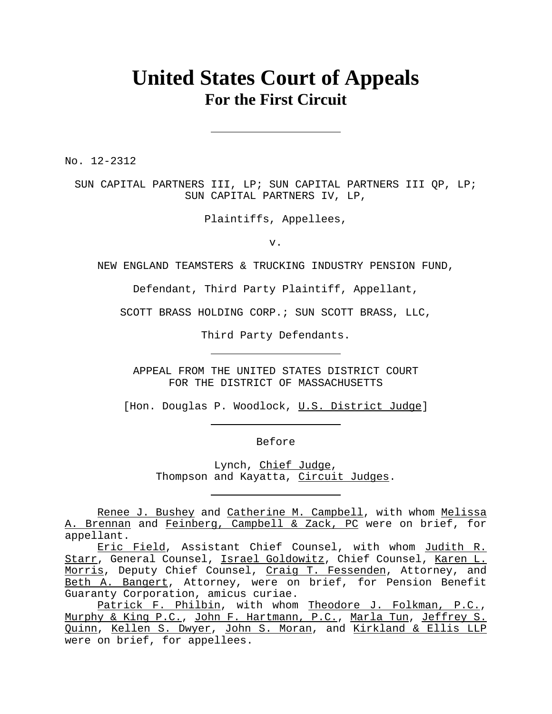# **United States Court of Appeals For the First Circuit**

No. 12-2312

SUN CAPITAL PARTNERS III, LP; SUN CAPITAL PARTNERS III QP, LP; SUN CAPITAL PARTNERS IV, LP,

Plaintiffs, Appellees,

v.

NEW ENGLAND TEAMSTERS & TRUCKING INDUSTRY PENSION FUND,

Defendant, Third Party Plaintiff, Appellant,

SCOTT BRASS HOLDING CORP.; SUN SCOTT BRASS, LLC,

Third Party Defendants.

APPEAL FROM THE UNITED STATES DISTRICT COURT FOR THE DISTRICT OF MASSACHUSETTS

[Hon. Douglas P. Woodlock, U.S. District Judge]

Before

Lynch, Chief Judge, Thompson and Kayatta, Circuit Judges.

Renee J. Bushey and Catherine M. Campbell, with whom Melissa A. Brennan and Feinberg, Campbell & Zack, PC were on brief, for appellant.

Eric Field, Assistant Chief Counsel, with whom Judith R. Starr, General Counsel, Israel Goldowitz, Chief Counsel, Karen L. Morris, Deputy Chief Counsel, Craig T. Fessenden, Attorney, and Beth A. Bangert, Attorney, were on brief, for Pension Benefit Guaranty Corporation, amicus curiae.

Patrick F. Philbin, with whom Theodore J. Folkman, P.C., Murphy & King P.C., John F. Hartmann, P.C., Marla Tun, Jeffrey S. Quinn, Kellen S. Dwyer, John S. Moran, and Kirkland & Ellis LLP were on brief, for appellees.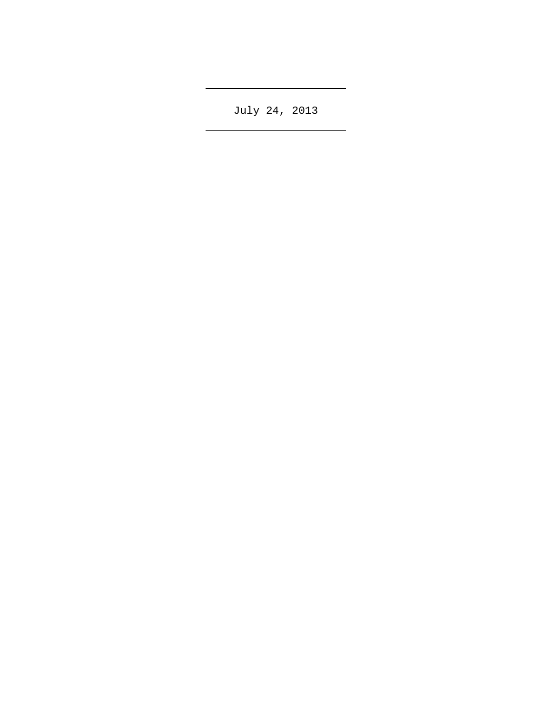July 24, 2013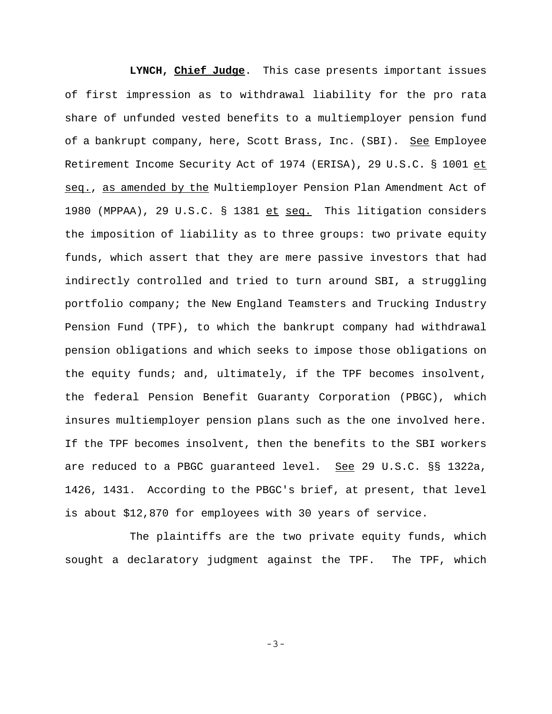**LYNCH, Chief Judge**. This case presents important issues of first impression as to withdrawal liability for the pro rata share of unfunded vested benefits to a multiemployer pension fund of a bankrupt company, here, Scott Brass, Inc. (SBI). See Employee Retirement Income Security Act of 1974 (ERISA), 29 U.S.C. § 1001 et seq., as amended by the Multiemployer Pension Plan Amendment Act of 1980 (MPPAA), 29 U.S.C. § 1381 et seq. This litigation considers the imposition of liability as to three groups: two private equity funds, which assert that they are mere passive investors that had indirectly controlled and tried to turn around SBI, a struggling portfolio company; the New England Teamsters and Trucking Industry Pension Fund (TPF), to which the bankrupt company had withdrawal pension obligations and which seeks to impose those obligations on the equity funds; and, ultimately, if the TPF becomes insolvent, the federal Pension Benefit Guaranty Corporation (PBGC), which insures multiemployer pension plans such as the one involved here. If the TPF becomes insolvent, then the benefits to the SBI workers are reduced to a PBGC guaranteed level. See 29 U.S.C. §§ 1322a, 1426, 1431. According to the PBGC's brief, at present, that level is about \$12,870 for employees with 30 years of service.

The plaintiffs are the two private equity funds, which sought a declaratory judgment against the TPF. The TPF, which

-3-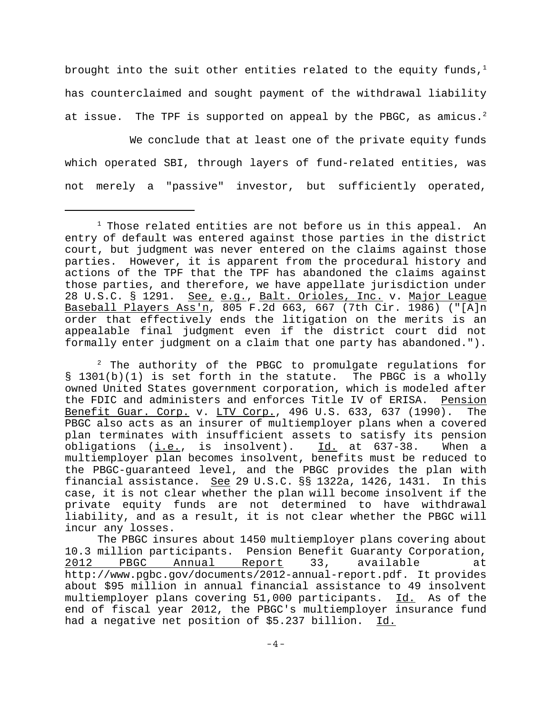brought into the suit other entities related to the equity funds, $1$ has counterclaimed and sought payment of the withdrawal liability at issue. The TPF is supported on appeal by the PBGC, as amicus.<sup>2</sup>

We conclude that at least one of the private equity funds which operated SBI, through layers of fund-related entities, was not merely a "passive" investor, but sufficiently operated,

 $2$  The authority of the PBGC to promulgate regulations for § 1301(b)(1) is set forth in the statute. The PBGC is a wholly owned United States government corporation, which is modeled after the FDIC and administers and enforces Title IV of ERISA. Pension Benefit Guar. Corp. v. LTV Corp., 496 U.S. 633, 637 (1990). The PBGC also acts as an insurer of multiemployer plans when a covered plan terminates with insufficient assets to satisfy its pension obligations (i.e., is insolvent). Id. at 637-38. When a multiemployer plan becomes insolvent, benefits must be reduced to the PBGC-guaranteed level, and the PBGC provides the plan with financial assistance. See 29 U.S.C. §§ 1322a, 1426, 1431. In this case, it is not clear whether the plan will become insolvent if the private equity funds are not determined to have withdrawal liability, and as a result, it is not clear whether the PBGC will incur any losses.

The PBGC insures about 1450 multiemployer plans covering about 10.3 million participants. Pension Benefit Guaranty Corporation, 2012 PBGC Annual Report 33, available at http://www.pgbc.gov/documents/2012-annual-report.pdf. It provides about \$95 million in annual financial assistance to 49 insolvent multiemployer plans covering 51,000 participants. Id. As of the end of fiscal year 2012, the PBGC's multiemployer insurance fund had a negative net position of \$5.237 billion. Id.

 $^{\rm 1}$  Those related entities are not before us in this appeal. An entry of default was entered against those parties in the district court, but judgment was never entered on the claims against those parties. However, it is apparent from the procedural history and actions of the TPF that the TPF has abandoned the claims against those parties, and therefore, we have appellate jurisdiction under 28 U.S.C. § 1291. See, e.g., Balt. Orioles, Inc. v. Major League Baseball Players Ass'n, 805 F.2d 663, 667 (7th Cir. 1986) ("[A]n order that effectively ends the litigation on the merits is an appealable final judgment even if the district court did not formally enter judgment on a claim that one party has abandoned.").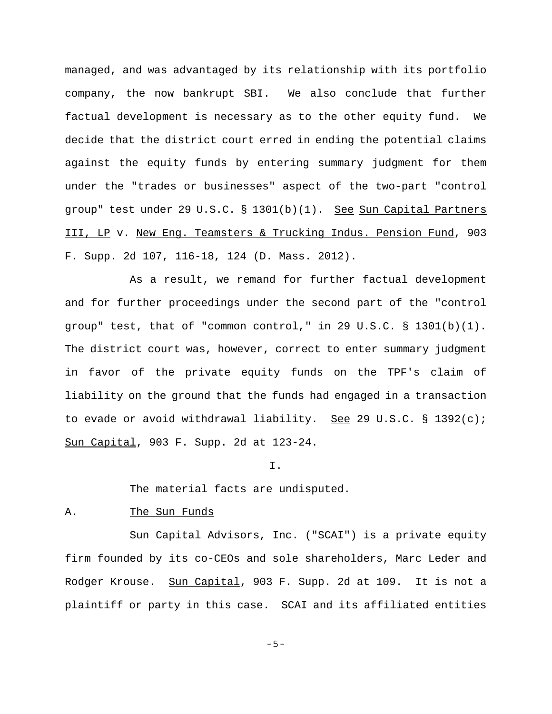managed, and was advantaged by its relationship with its portfolio company, the now bankrupt SBI. We also conclude that further factual development is necessary as to the other equity fund. We decide that the district court erred in ending the potential claims against the equity funds by entering summary judgment for them under the "trades or businesses" aspect of the two-part "control group" test under 29 U.S.C. § 1301(b)(1). See Sun Capital Partners III, LP v. New Eng. Teamsters & Trucking Indus. Pension Fund, 903 F. Supp. 2d 107, 116-18, 124 (D. Mass. 2012).

As a result, we remand for further factual development and for further proceedings under the second part of the "control group" test, that of "common control," in 29 U.S.C. § 1301(b)(1). The district court was, however, correct to enter summary judgment in favor of the private equity funds on the TPF's claim of liability on the ground that the funds had engaged in a transaction to evade or avoid withdrawal liability. See 29 U.S.C. § 1392(c); Sun Capital, 903 F. Supp. 2d at 123-24.

I.

The material facts are undisputed.

### A. The Sun Funds

Sun Capital Advisors, Inc. ("SCAI") is a private equity firm founded by its co-CEOs and sole shareholders, Marc Leder and Rodger Krouse. Sun Capital, 903 F. Supp. 2d at 109. It is not a plaintiff or party in this case. SCAI and its affiliated entities

-5-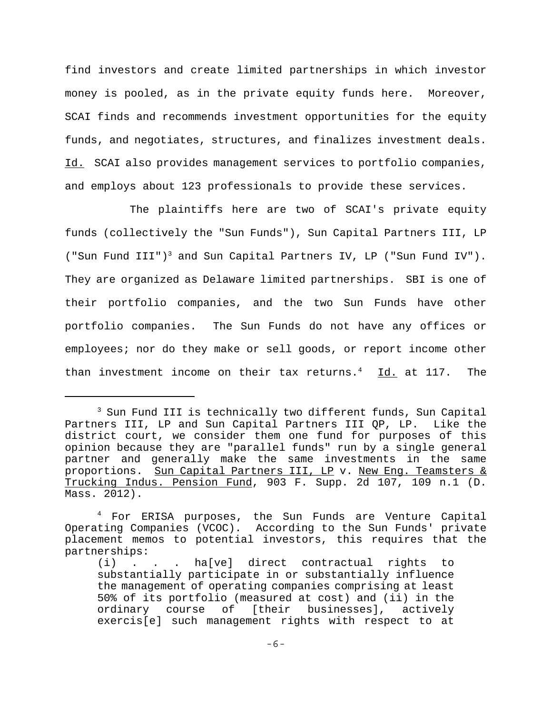find investors and create limited partnerships in which investor money is pooled, as in the private equity funds here. Moreover, SCAI finds and recommends investment opportunities for the equity funds, and negotiates, structures, and finalizes investment deals. Id. SCAI also provides management services to portfolio companies, and employs about 123 professionals to provide these services.

The plaintiffs here are two of SCAI's private equity funds (collectively the "Sun Funds"), Sun Capital Partners III, LP ("Sun Fund III")<sup>3</sup> and Sun Capital Partners IV, LP ("Sun Fund IV"). They are organized as Delaware limited partnerships. SBI is one of their portfolio companies, and the two Sun Funds have other portfolio companies. The Sun Funds do not have any offices or employees; nor do they make or sell goods, or report income other than investment income on their tax returns.<sup>4</sup> Id. at 117. The

<sup>&</sup>lt;sup>3</sup> Sun Fund III is technically two different funds, Sun Capital Partners III, LP and Sun Capital Partners III QP, LP. Like the district court, we consider them one fund for purposes of this opinion because they are "parallel funds" run by a single general partner and generally make the same investments in the same proportions. Sun Capital Partners III, LP v. New Eng. Teamsters & Trucking Indus. Pension Fund, 903 F. Supp. 2d 107, 109 n.1 (D. Mass. 2012).

<sup>4</sup> For ERISA purposes, the Sun Funds are Venture Capital Operating Companies (VCOC). According to the Sun Funds' private placement memos to potential investors, this requires that the partnerships:

<sup>(</sup>i) . . . ha[ve] direct contractual rights to substantially participate in or substantially influence the management of operating companies comprising at least 50% of its portfolio (measured at cost) and (ii) in the ordinary course of [their businesses], actively exercis[e] such management rights with respect to at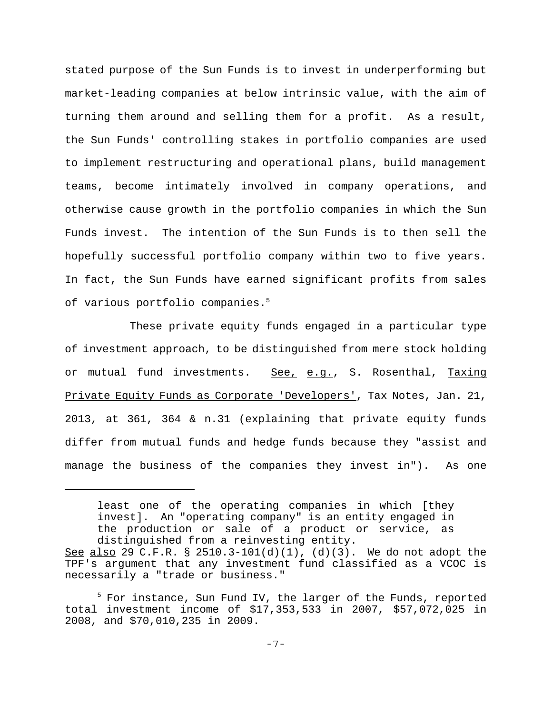stated purpose of the Sun Funds is to invest in underperforming but market-leading companies at below intrinsic value, with the aim of turning them around and selling them for a profit. As a result, the Sun Funds' controlling stakes in portfolio companies are used to implement restructuring and operational plans, build management teams, become intimately involved in company operations, and otherwise cause growth in the portfolio companies in which the Sun Funds invest. The intention of the Sun Funds is to then sell the hopefully successful portfolio company within two to five years. In fact, the Sun Funds have earned significant profits from sales of various portfolio companies.<sup>5</sup>

These private equity funds engaged in a particular type of investment approach, to be distinguished from mere stock holding or mutual fund investments. See, e.g., S. Rosenthal, Taxing Private Equity Funds as Corporate 'Developers', Tax Notes, Jan. 21, 2013, at 361, 364 & n.31 (explaining that private equity funds differ from mutual funds and hedge funds because they "assist and manage the business of the companies they invest in"). As one

least one of the operating companies in which [they invest]. An "operating company" is an entity engaged in the production or sale of a product or service, as distinguished from a reinvesting entity.

See also 29 C.F.R. § 2510.3-101(d)(1), (d)(3). We do not adopt the TPF's argument that any investment fund classified as a VCOC is necessarily a "trade or business."

<sup>&</sup>lt;sup>5</sup> For instance, Sun Fund IV, the larger of the Funds, reported total investment income of \$17,353,533 in 2007, \$57,072,025 in 2008, and \$70,010,235 in 2009.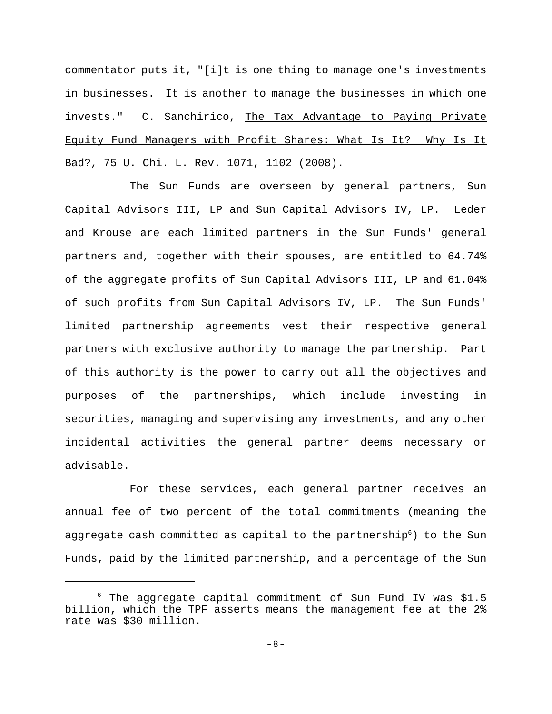commentator puts it, "[i]t is one thing to manage one's investments in businesses. It is another to manage the businesses in which one invests." C. Sanchirico, The Tax Advantage to Paying Private Equity Fund Managers with Profit Shares: What Is It? Why Is It Bad?, 75 U. Chi. L. Rev. 1071, 1102 (2008).

The Sun Funds are overseen by general partners, Sun Capital Advisors III, LP and Sun Capital Advisors IV, LP. Leder and Krouse are each limited partners in the Sun Funds' general partners and, together with their spouses, are entitled to 64.74% of the aggregate profits of Sun Capital Advisors III, LP and 61.04% of such profits from Sun Capital Advisors IV, LP. The Sun Funds' limited partnership agreements vest their respective general partners with exclusive authority to manage the partnership. Part of this authority is the power to carry out all the objectives and purposes of the partnerships, which include investing in securities, managing and supervising any investments, and any other incidental activities the general partner deems necessary or advisable.

For these services, each general partner receives an annual fee of two percent of the total commitments (meaning the aggregate cash committed as capital to the partnership<sup>6</sup>) to the Sun Funds, paid by the limited partnership, and a percentage of the Sun

<sup>6</sup> The aggregate capital commitment of Sun Fund IV was \$1.5 billion, which the TPF asserts means the management fee at the 2% rate was \$30 million.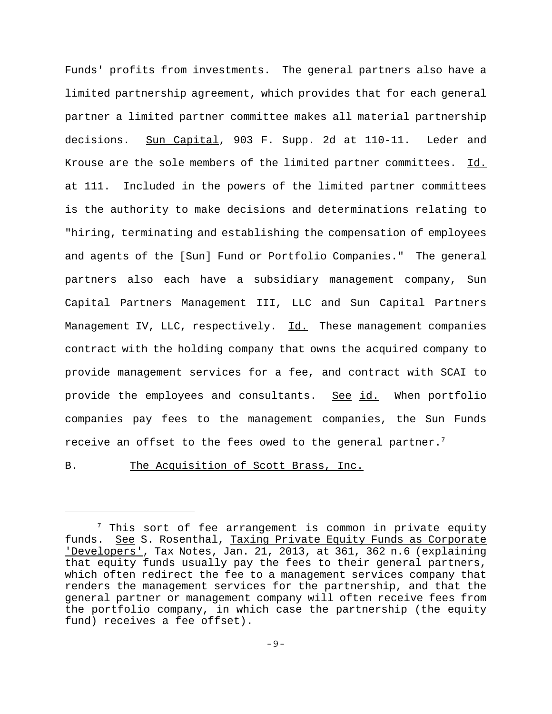Funds' profits from investments. The general partners also have a limited partnership agreement, which provides that for each general partner a limited partner committee makes all material partnership decisions. Sun Capital, 903 F. Supp. 2d at 110-11. Leder and Krouse are the sole members of the limited partner committees. Id. at 111. Included in the powers of the limited partner committees is the authority to make decisions and determinations relating to "hiring, terminating and establishing the compensation of employees and agents of the [Sun] Fund or Portfolio Companies." The general partners also each have a subsidiary management company, Sun Capital Partners Management III, LLC and Sun Capital Partners Management IV, LLC, respectively. Id. These management companies contract with the holding company that owns the acquired company to provide management services for a fee, and contract with SCAI to provide the employees and consultants. See id. When portfolio companies pay fees to the management companies, the Sun Funds receive an offset to the fees owed to the general partner.<sup>7</sup>

B. The Acquisition of Scott Brass, Inc.

 $^7$  This sort of fee arrangement is common in private equity funds. See S. Rosenthal, Taxing Private Equity Funds as Corporate 'Developers', Tax Notes, Jan. 21, 2013, at 361, 362 n.6 (explaining that equity funds usually pay the fees to their general partners, which often redirect the fee to a management services company that renders the management services for the partnership, and that the general partner or management company will often receive fees from the portfolio company, in which case the partnership (the equity fund) receives a fee offset).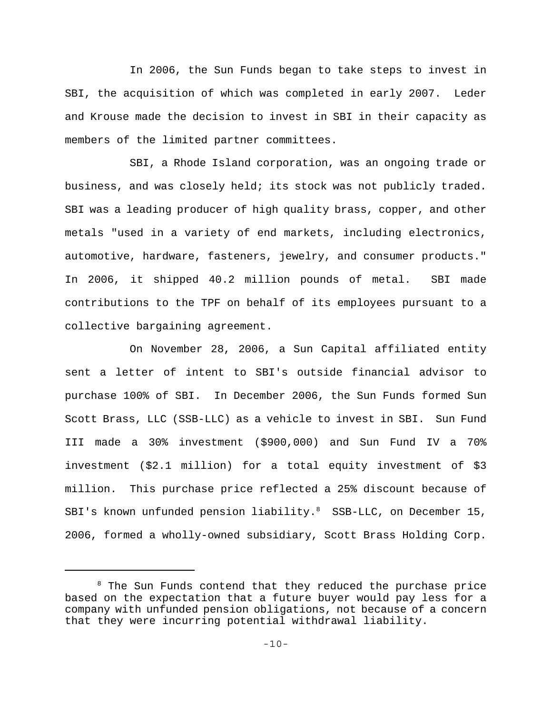In 2006, the Sun Funds began to take steps to invest in SBI, the acquisition of which was completed in early 2007. Leder and Krouse made the decision to invest in SBI in their capacity as members of the limited partner committees.

SBI, a Rhode Island corporation, was an ongoing trade or business, and was closely held; its stock was not publicly traded. SBI was a leading producer of high quality brass, copper, and other metals "used in a variety of end markets, including electronics, automotive, hardware, fasteners, jewelry, and consumer products." In 2006, it shipped 40.2 million pounds of metal. SBI made contributions to the TPF on behalf of its employees pursuant to a collective bargaining agreement.

On November 28, 2006, a Sun Capital affiliated entity sent a letter of intent to SBI's outside financial advisor to purchase 100% of SBI. In December 2006, the Sun Funds formed Sun Scott Brass, LLC (SSB-LLC) as a vehicle to invest in SBI. Sun Fund III made a 30% investment (\$900,000) and Sun Fund IV a 70% investment (\$2.1 million) for a total equity investment of \$3 million. This purchase price reflected a 25% discount because of SBI's known unfunded pension liability. $8$  SSB-LLC, on December 15, 2006, formed a wholly-owned subsidiary, Scott Brass Holding Corp.

 $8$  The Sun Funds contend that they reduced the purchase price based on the expectation that a future buyer would pay less for a company with unfunded pension obligations, not because of a concern that they were incurring potential withdrawal liability.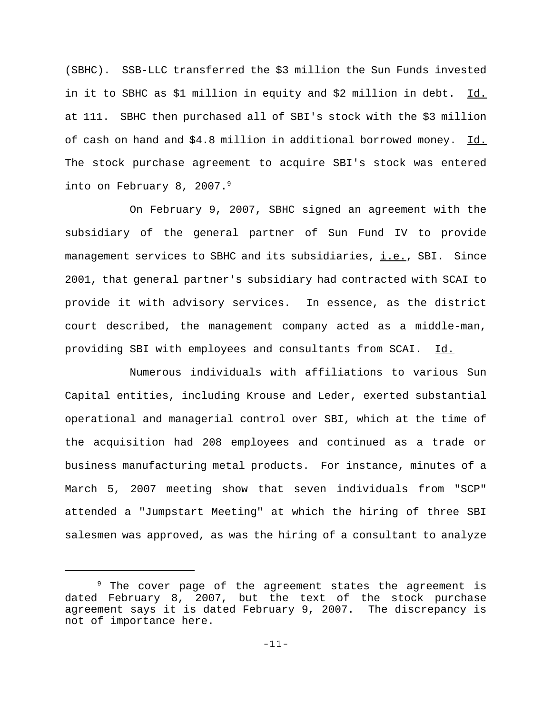(SBHC). SSB-LLC transferred the \$3 million the Sun Funds invested in it to SBHC as \$1 million in equity and \$2 million in debt. Id. at 111. SBHC then purchased all of SBI's stock with the \$3 million of cash on hand and \$4.8 million in additional borrowed money. Id. The stock purchase agreement to acquire SBI's stock was entered into on February 8, 2007.<sup>9</sup>

On February 9, 2007, SBHC signed an agreement with the subsidiary of the general partner of Sun Fund IV to provide management services to SBHC and its subsidiaries, i.e., SBI. Since 2001, that general partner's subsidiary had contracted with SCAI to provide it with advisory services. In essence, as the district court described, the management company acted as a middle-man, providing SBI with employees and consultants from SCAI. Id.

Numerous individuals with affiliations to various Sun Capital entities, including Krouse and Leder, exerted substantial operational and managerial control over SBI, which at the time of the acquisition had 208 employees and continued as a trade or business manufacturing metal products. For instance, minutes of a March 5, 2007 meeting show that seven individuals from "SCP" attended a "Jumpstart Meeting" at which the hiring of three SBI salesmen was approved, as was the hiring of a consultant to analyze

<sup>&</sup>lt;sup>9</sup> The cover page of the agreement states the agreement is dated February 8, 2007, but the text of the stock purchase agreement says it is dated February 9, 2007. The discrepancy is not of importance here.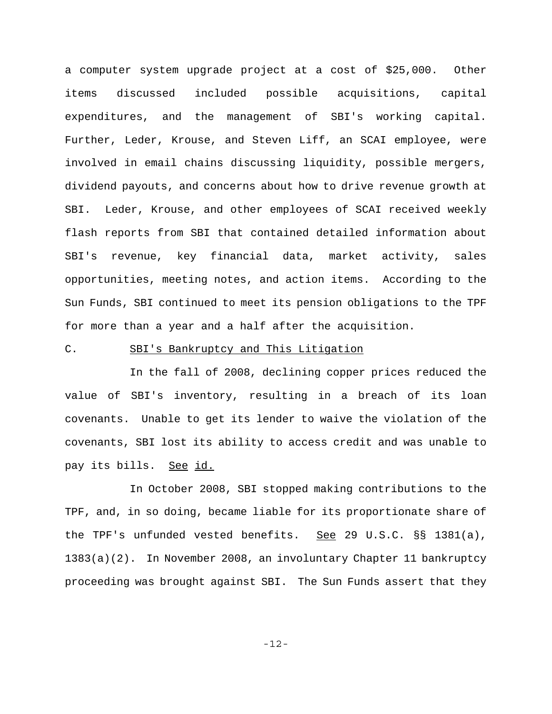a computer system upgrade project at a cost of \$25,000. Other items discussed included possible acquisitions, capital expenditures, and the management of SBI's working capital. Further, Leder, Krouse, and Steven Liff, an SCAI employee, were involved in email chains discussing liquidity, possible mergers, dividend payouts, and concerns about how to drive revenue growth at SBI. Leder, Krouse, and other employees of SCAI received weekly flash reports from SBI that contained detailed information about SBI's revenue, key financial data, market activity, sales opportunities, meeting notes, and action items. According to the Sun Funds, SBI continued to meet its pension obligations to the TPF for more than a year and a half after the acquisition.

### C. SBI's Bankruptcy and This Litigation

In the fall of 2008, declining copper prices reduced the value of SBI's inventory, resulting in a breach of its loan covenants. Unable to get its lender to waive the violation of the covenants, SBI lost its ability to access credit and was unable to pay its bills. See id.

In October 2008, SBI stopped making contributions to the TPF, and, in so doing, became liable for its proportionate share of the TPF's unfunded vested benefits. See 29 U.S.C.  $\S$ § 1381(a), 1383(a)(2). In November 2008, an involuntary Chapter 11 bankruptcy proceeding was brought against SBI. The Sun Funds assert that they

-12-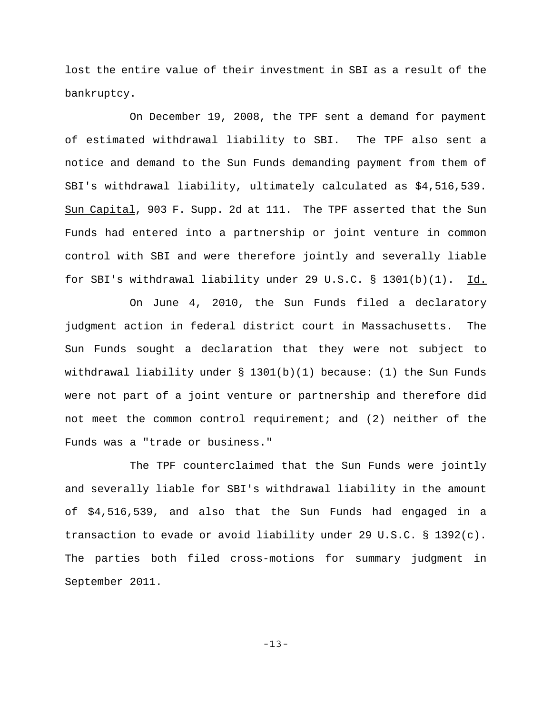lost the entire value of their investment in SBI as a result of the bankruptcy.

On December 19, 2008, the TPF sent a demand for payment of estimated withdrawal liability to SBI. The TPF also sent a notice and demand to the Sun Funds demanding payment from them of SBI's withdrawal liability, ultimately calculated as \$4,516,539. Sun Capital, 903 F. Supp. 2d at 111. The TPF asserted that the Sun Funds had entered into a partnership or joint venture in common control with SBI and were therefore jointly and severally liable for SBI's withdrawal liability under 29 U.S.C. § 1301(b)(1). Id.

On June 4, 2010, the Sun Funds filed a declaratory judgment action in federal district court in Massachusetts. The Sun Funds sought a declaration that they were not subject to withdrawal liability under  $\S$  1301(b)(1) because: (1) the Sun Funds were not part of a joint venture or partnership and therefore did not meet the common control requirement; and (2) neither of the Funds was a "trade or business."

The TPF counterclaimed that the Sun Funds were jointly and severally liable for SBI's withdrawal liability in the amount of \$4,516,539, and also that the Sun Funds had engaged in a transaction to evade or avoid liability under 29 U.S.C. § 1392(c). The parties both filed cross-motions for summary judgment in September 2011.

-13-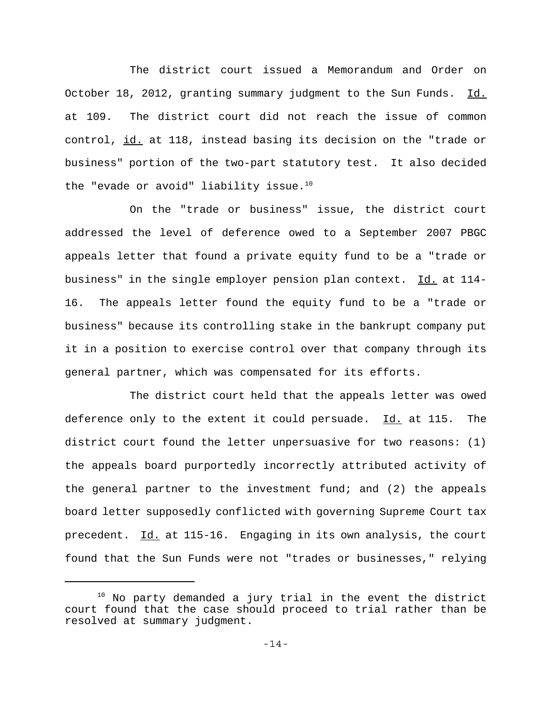The district court issued a Memorandum and Order on October 18, 2012, granting summary judgment to the Sun Funds. Id. at 109. The district court did not reach the issue of common control, id. at 118, instead basing its decision on the "trade or business" portion of the two-part statutory test. It also decided the "evade or avoid" liability issue. $10$ 

On the "trade or business" issue, the district court addressed the level of deference owed to a September 2007 PBGC appeals letter that found a private equity fund to be a "trade or business" in the single employer pension plan context. Id. at 114- 16. The appeals letter found the equity fund to be a "trade or business" because its controlling stake in the bankrupt company put it in a position to exercise control over that company through its general partner, which was compensated for its efforts.

The district court held that the appeals letter was owed deference only to the extent it could persuade. Id. at 115. The district court found the letter unpersuasive for two reasons: (1) the appeals board purportedly incorrectly attributed activity of the general partner to the investment fund; and (2) the appeals board letter supposedly conflicted with governing Supreme Court tax precedent. Id. at 115-16. Engaging in its own analysis, the court found that the Sun Funds were not "trades or businesses," relying

 $10$  No party demanded a jury trial in the event the district court found that the case should proceed to trial rather than be resolved at summary judgment.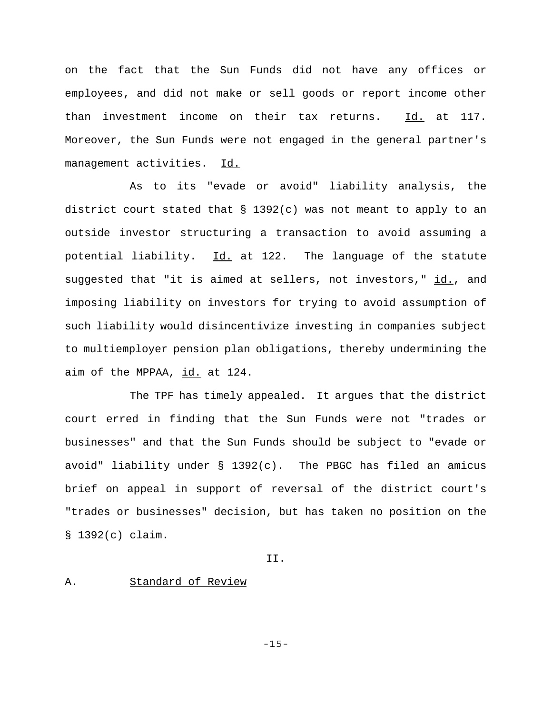on the fact that the Sun Funds did not have any offices or employees, and did not make or sell goods or report income other than investment income on their tax returns. Id. at 117. Moreover, the Sun Funds were not engaged in the general partner's management activities. Id.

As to its "evade or avoid" liability analysis, the district court stated that  $\S$  1392(c) was not meant to apply to an outside investor structuring a transaction to avoid assuming a potential liability. Id. at 122. The language of the statute suggested that "it is aimed at sellers, not investors," id., and imposing liability on investors for trying to avoid assumption of such liability would disincentivize investing in companies subject to multiemployer pension plan obligations, thereby undermining the aim of the MPPAA, id. at 124.

The TPF has timely appealed. It argues that the district court erred in finding that the Sun Funds were not "trades or businesses" and that the Sun Funds should be subject to "evade or avoid" liability under § 1392(c). The PBGC has filed an amicus brief on appeal in support of reversal of the district court's "trades or businesses" decision, but has taken no position on the § 1392(c) claim.

II.

## A. Standard of Review

-15-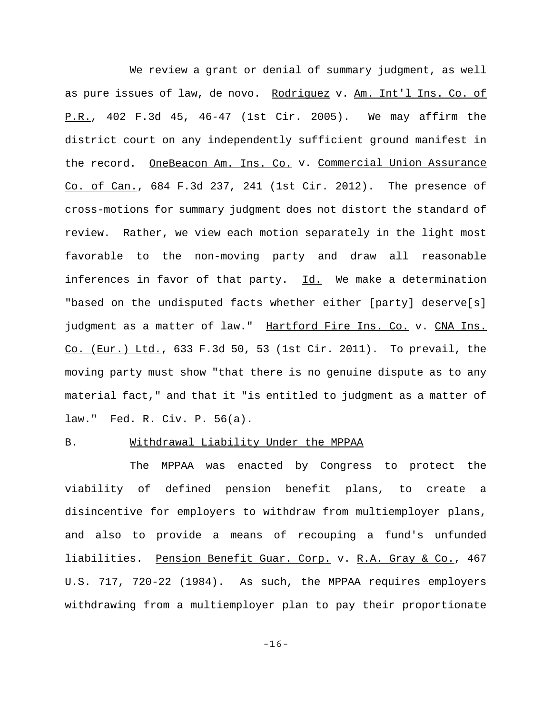We review a grant or denial of summary judgment, as well as pure issues of law, de novo. Rodriguez v. Am. Int'l Ins. Co. of P.R., 402 F.3d 45, 46-47 (1st Cir. 2005). We may affirm the district court on any independently sufficient ground manifest in the record. OneBeacon Am. Ins. Co. v. Commercial Union Assurance Co. of Can., 684 F.3d 237, 241 (1st Cir. 2012). The presence of cross-motions for summary judgment does not distort the standard of review. Rather, we view each motion separately in the light most favorable to the non-moving party and draw all reasonable inferences in favor of that party. Id. We make a determination "based on the undisputed facts whether either [party] deserve[s] judgment as a matter of law." Hartford Fire Ins. Co. v. CNA Ins. Co. (Eur.) Ltd., 633 F.3d 50, 53 (1st Cir. 2011). To prevail, the moving party must show "that there is no genuine dispute as to any material fact," and that it "is entitled to judgment as a matter of law." Fed. R. Civ. P. 56(a).

# B. Withdrawal Liability Under the MPPAA

The MPPAA was enacted by Congress to protect the viability of defined pension benefit plans, to create a disincentive for employers to withdraw from multiemployer plans, and also to provide a means of recouping a fund's unfunded liabilities. Pension Benefit Guar. Corp. v. R.A. Gray & Co., 467 U.S. 717, 720-22 (1984). As such, the MPPAA requires employers withdrawing from a multiemployer plan to pay their proportionate

-16-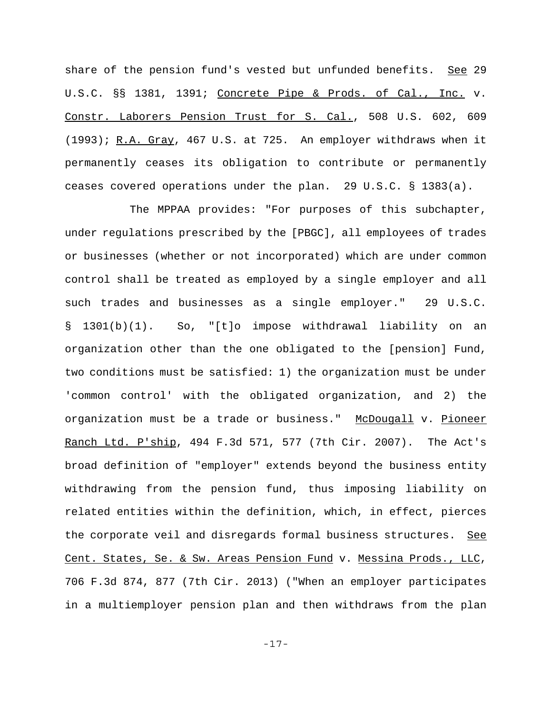share of the pension fund's vested but unfunded benefits. See 29 U.S.C. §§ 1381, 1391; Concrete Pipe & Prods. of Cal., Inc. v. Constr. Laborers Pension Trust for S. Cal., 508 U.S. 602, 609 (1993); R.A. Gray, 467 U.S. at 725. An employer withdraws when it permanently ceases its obligation to contribute or permanently ceases covered operations under the plan. 29 U.S.C. § 1383(a).

The MPPAA provides: "For purposes of this subchapter, under regulations prescribed by the [PBGC], all employees of trades or businesses (whether or not incorporated) which are under common control shall be treated as employed by a single employer and all such trades and businesses as a single employer." 29 U.S.C. § 1301(b)(1). So, "[t]o impose withdrawal liability on an organization other than the one obligated to the [pension] Fund, two conditions must be satisfied: 1) the organization must be under 'common control' with the obligated organization, and 2) the organization must be a trade or business." McDougall v. Pioneer Ranch Ltd. P'ship, 494 F.3d 571, 577 (7th Cir. 2007). The Act's broad definition of "employer" extends beyond the business entity withdrawing from the pension fund, thus imposing liability on related entities within the definition, which, in effect, pierces the corporate veil and disregards formal business structures. See Cent. States, Se. & Sw. Areas Pension Fund v. Messina Prods., LLC, 706 F.3d 874, 877 (7th Cir. 2013) ("When an employer participates in a multiemployer pension plan and then withdraws from the plan

-17-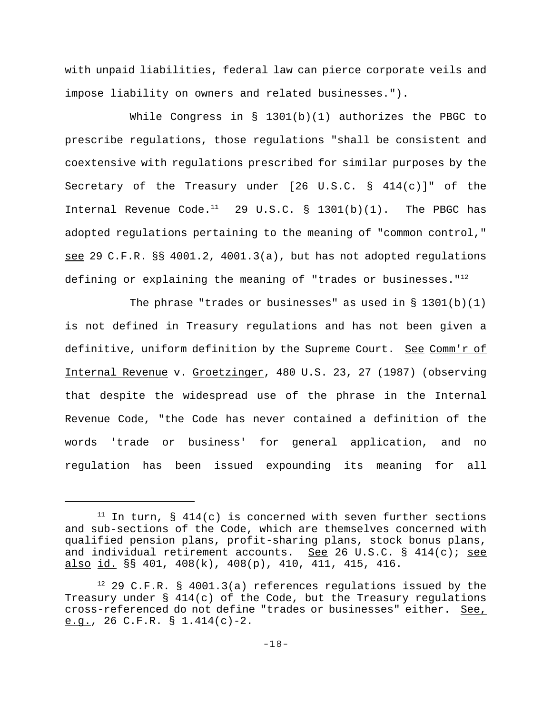with unpaid liabilities, federal law can pierce corporate veils and impose liability on owners and related businesses.").

While Congress in § 1301(b)(1) authorizes the PBGC to prescribe regulations, those regulations "shall be consistent and coextensive with regulations prescribed for similar purposes by the Secretary of the Treasury under [26 U.S.C. § 414(c)]" of the Internal Revenue Code.<sup>11</sup> 29 U.S.C. § 1301(b)(1). The PBGC has adopted regulations pertaining to the meaning of "common control," see 29 C.F.R. §§ 4001.2, 4001.3(a), but has not adopted regulations defining or explaining the meaning of "trades or businesses." $12$ 

The phrase "trades or businesses" as used in  $\S 1301(b)(1)$ is not defined in Treasury regulations and has not been given a definitive, uniform definition by the Supreme Court. See Comm'r of Internal Revenue v. Groetzinger, 480 U.S. 23, 27 (1987) (observing that despite the widespread use of the phrase in the Internal Revenue Code, "the Code has never contained a definition of the words 'trade or business' for general application, and no regulation has been issued expounding its meaning for all

 $11$  In turn, § 414(c) is concerned with seven further sections and sub-sections of the Code, which are themselves concerned with qualified pension plans, profit-sharing plans, stock bonus plans, and individual retirement accounts. See 26 U.S.C. § 414(c); see also id. §§ 401, 408(k), 408(p), 410, 411, 415, 416.

 $12$  29 C.F.R. § 4001.3(a) references regulations issued by the Treasury under  $\S$  414(c) of the Code, but the Treasury regulations cross-referenced do not define "trades or businesses" either. See, e.g., 26 C.F.R.  $\S$  1.414(c)-2.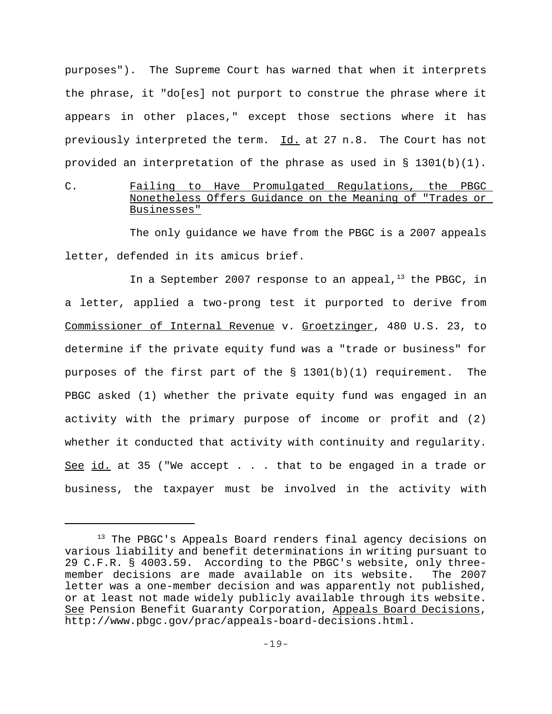purposes"). The Supreme Court has warned that when it interprets the phrase, it "do[es] not purport to construe the phrase where it appears in other places," except those sections where it has previously interpreted the term. Id. at 27 n.8. The Court has not provided an interpretation of the phrase as used in § 1301(b)(1).

# C. Failing to Have Promulgated Regulations, the PBGC Nonetheless Offers Guidance on the Meaning of "Trades or Businesses"

The only guidance we have from the PBGC is a 2007 appeals letter, defended in its amicus brief.

In a September 2007 response to an appeal, $13$  the PBGC, in a letter, applied a two-prong test it purported to derive from Commissioner of Internal Revenue v. Groetzinger, 480 U.S. 23, to determine if the private equity fund was a "trade or business" for purposes of the first part of the § 1301(b)(1) requirement. The PBGC asked (1) whether the private equity fund was engaged in an activity with the primary purpose of income or profit and (2) whether it conducted that activity with continuity and regularity. See id. at 35 ("We accept . . . that to be engaged in a trade or business, the taxpayer must be involved in the activity with

<sup>&</sup>lt;sup>13</sup> The PBGC's Appeals Board renders final agency decisions on various liability and benefit determinations in writing pursuant to 29 C.F.R. § 4003.59. According to the PBGC's website, only threemember decisions are made available on its website. The 2007 letter was a one-member decision and was apparently not published, or at least not made widely publicly available through its website. See Pension Benefit Guaranty Corporation, Appeals Board Decisions, http://www.pbgc.gov/prac/appeals-board-decisions.html.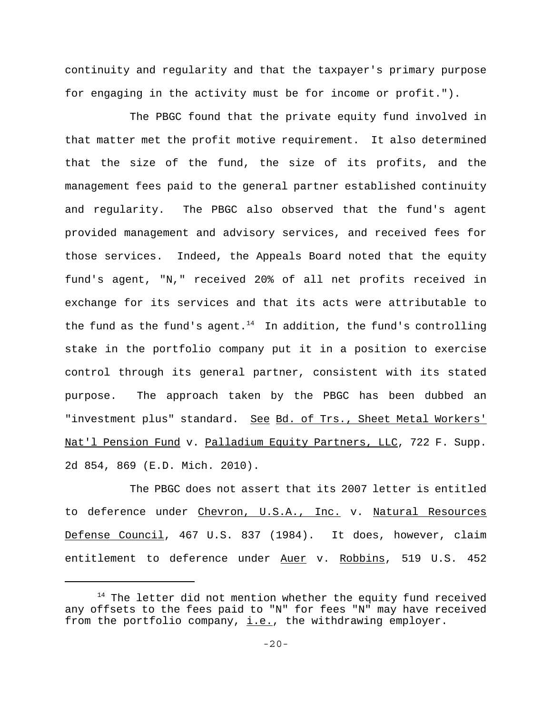continuity and regularity and that the taxpayer's primary purpose for engaging in the activity must be for income or profit.").

The PBGC found that the private equity fund involved in that matter met the profit motive requirement. It also determined that the size of the fund, the size of its profits, and the management fees paid to the general partner established continuity and regularity. The PBGC also observed that the fund's agent provided management and advisory services, and received fees for those services. Indeed, the Appeals Board noted that the equity fund's agent, "N," received 20% of all net profits received in exchange for its services and that its acts were attributable to the fund as the fund's agent.<sup>14</sup> In addition, the fund's controlling stake in the portfolio company put it in a position to exercise control through its general partner, consistent with its stated purpose. The approach taken by the PBGC has been dubbed an "investment plus" standard. See Bd. of Trs., Sheet Metal Workers' Nat'l Pension Fund v. Palladium Equity Partners, LLC, 722 F. Supp. 2d 854, 869 (E.D. Mich. 2010).

The PBGC does not assert that its 2007 letter is entitled to deference under Chevron, U.S.A., Inc. v. Natural Resources Defense Council, 467 U.S. 837 (1984). It does, however, claim entitlement to deference under Auer v. Robbins, 519 U.S. 452

<sup>&</sup>lt;sup>14</sup> The letter did not mention whether the equity fund received any offsets to the fees paid to "N" for fees "N" may have received from the portfolio company,  $i.e.,$  the withdrawing employer.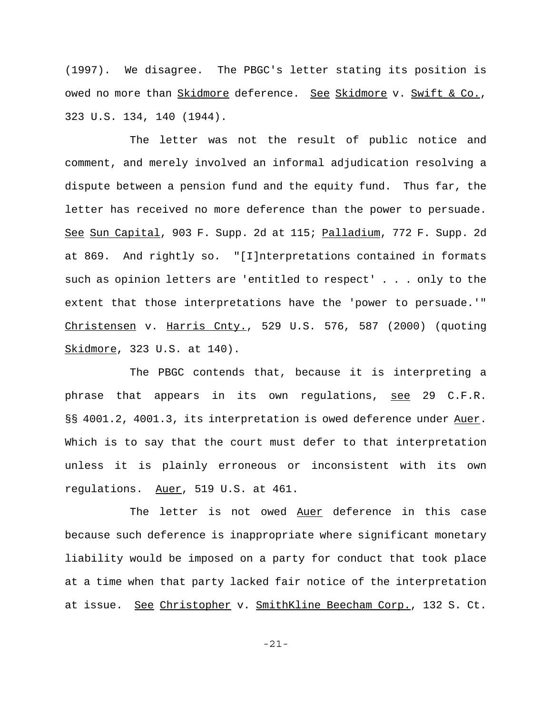(1997). We disagree. The PBGC's letter stating its position is owed no more than Skidmore deference. See Skidmore v. Swift & Co., 323 U.S. 134, 140 (1944).

The letter was not the result of public notice and comment, and merely involved an informal adjudication resolving a dispute between a pension fund and the equity fund. Thus far, the letter has received no more deference than the power to persuade. See Sun Capital, 903 F. Supp. 2d at 115; Palladium, 772 F. Supp. 2d at 869. And rightly so. "[I]nterpretations contained in formats such as opinion letters are 'entitled to respect' . . . only to the extent that those interpretations have the 'power to persuade.'" Christensen v. Harris Cnty., 529 U.S. 576, 587 (2000) (quoting Skidmore, 323 U.S. at 140).

The PBGC contends that, because it is interpreting a phrase that appears in its own regulations, see 29 C.F.R. §§ 4001.2, 4001.3, its interpretation is owed deference under Auer. Which is to say that the court must defer to that interpretation unless it is plainly erroneous or inconsistent with its own regulations. Auer, 519 U.S. at 461.

The letter is not owed Auer deference in this case because such deference is inappropriate where significant monetary liability would be imposed on a party for conduct that took place at a time when that party lacked fair notice of the interpretation at issue. See Christopher v. SmithKline Beecham Corp., 132 S. Ct.

-21-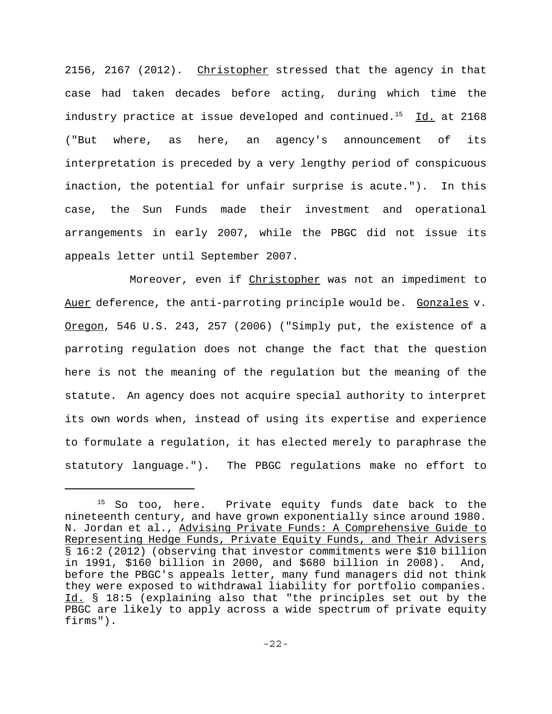2156, 2167 (2012). Christopher stressed that the agency in that case had taken decades before acting, during which time the industry practice at issue developed and continued.<sup>15</sup> Id. at 2168 ("But where, as here, an agency's announcement of its interpretation is preceded by a very lengthy period of conspicuous inaction, the potential for unfair surprise is acute."). In this case, the Sun Funds made their investment and operational arrangements in early 2007, while the PBGC did not issue its appeals letter until September 2007.

Moreover, even if Christopher was not an impediment to Auer deference, the anti-parroting principle would be. Gonzales v. Oregon, 546 U.S. 243, 257 (2006) ("Simply put, the existence of a parroting regulation does not change the fact that the question here is not the meaning of the regulation but the meaning of the statute. An agency does not acquire special authority to interpret its own words when, instead of using its expertise and experience to formulate a regulation, it has elected merely to paraphrase the statutory language."). The PBGC regulations make no effort to

<sup>&</sup>lt;sup>15</sup> So too, here. Private equity funds date back to the nineteenth century, and have grown exponentially since around 1980. N. Jordan et al., Advising Private Funds: A Comprehensive Guide to Representing Hedge Funds, Private Equity Funds, and Their Advisers § 16:2 (2012) (observing that investor commitments were \$10 billion in 1991, \$160 billion in 2000, and \$680 billion in 2008). And, before the PBGC's appeals letter, many fund managers did not think they were exposed to withdrawal liability for portfolio companies. Id. § 18:5 (explaining also that "the principles set out by the PBGC are likely to apply across a wide spectrum of private equity firms").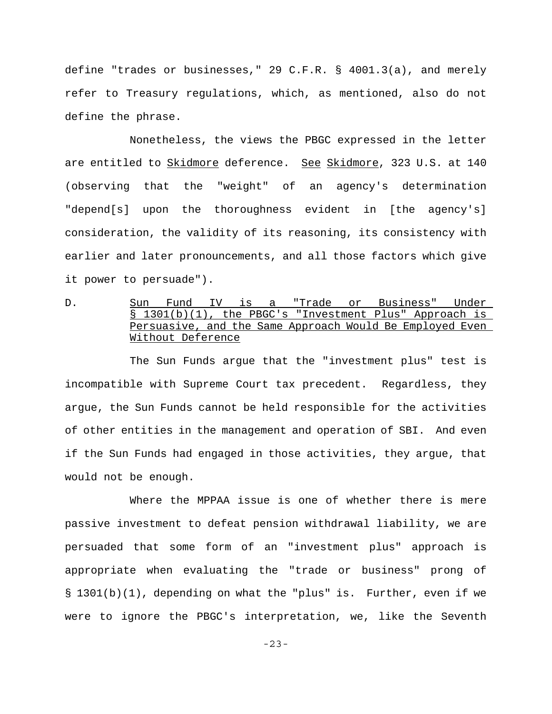define "trades or businesses," 29 C.F.R. § 4001.3(a), and merely refer to Treasury regulations, which, as mentioned, also do not define the phrase.

Nonetheless, the views the PBGC expressed in the letter are entitled to Skidmore deference. See Skidmore, 323 U.S. at 140 (observing that the "weight" of an agency's determination "depend[s] upon the thoroughness evident in [the agency's] consideration, the validity of its reasoning, its consistency with earlier and later pronouncements, and all those factors which give it power to persuade").

D. Sun Fund IV is a "Trade or Business" Under § 1301(b)(1), the PBGC's "Investment Plus" Approach is Persuasive, and the Same Approach Would Be Employed Even Without Deference

The Sun Funds argue that the "investment plus" test is incompatible with Supreme Court tax precedent. Regardless, they argue, the Sun Funds cannot be held responsible for the activities of other entities in the management and operation of SBI. And even if the Sun Funds had engaged in those activities, they argue, that would not be enough.

Where the MPPAA issue is one of whether there is mere passive investment to defeat pension withdrawal liability, we are persuaded that some form of an "investment plus" approach is appropriate when evaluating the "trade or business" prong of § 1301(b)(1), depending on what the "plus" is. Further, even if we were to ignore the PBGC's interpretation, we, like the Seventh

-23-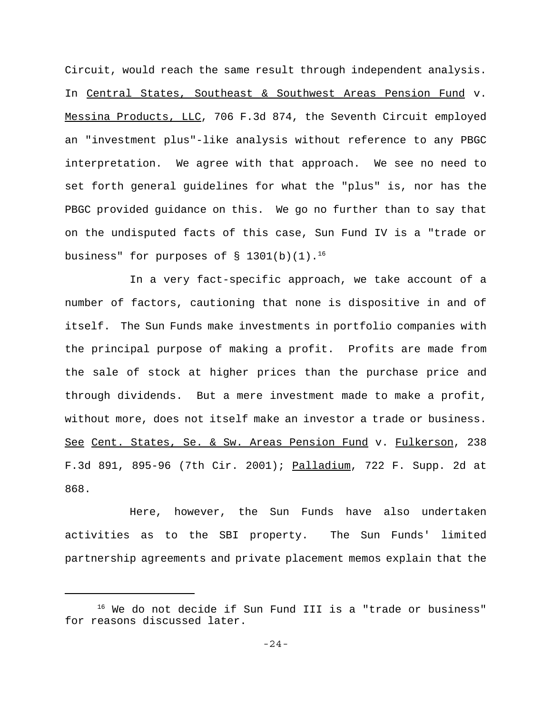Circuit, would reach the same result through independent analysis. In Central States, Southeast & Southwest Areas Pension Fund v. Messina Products, LLC, 706 F.3d 874, the Seventh Circuit employed an "investment plus"-like analysis without reference to any PBGC interpretation. We agree with that approach. We see no need to set forth general guidelines for what the "plus" is, nor has the PBGC provided guidance on this. We go no further than to say that on the undisputed facts of this case, Sun Fund IV is a "trade or business" for purposes of  $\S$  1301(b)(1).<sup>16</sup>

In a very fact-specific approach, we take account of a number of factors, cautioning that none is dispositive in and of itself. The Sun Funds make investments in portfolio companies with the principal purpose of making a profit. Profits are made from the sale of stock at higher prices than the purchase price and through dividends. But a mere investment made to make a profit, without more, does not itself make an investor a trade or business. See Cent. States, Se. & Sw. Areas Pension Fund v. Fulkerson, 238 F.3d 891, 895-96 (7th Cir. 2001); Palladium, 722 F. Supp. 2d at 868.

Here, however, the Sun Funds have also undertaken activities as to the SBI property. The Sun Funds' limited partnership agreements and private placement memos explain that the

<sup>&</sup>lt;sup>16</sup> We do not decide if Sun Fund III is a "trade or business" for reasons discussed later.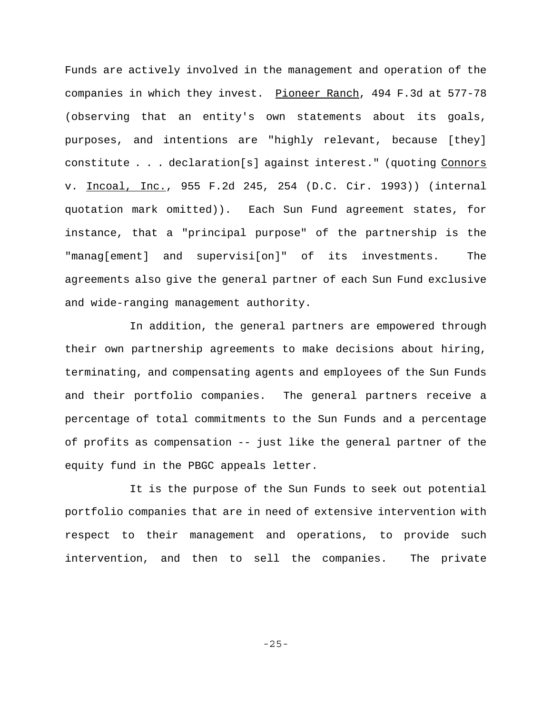Funds are actively involved in the management and operation of the companies in which they invest. Pioneer Ranch, 494 F.3d at 577-78 (observing that an entity's own statements about its goals, purposes, and intentions are "highly relevant, because [they] constitute . . . declaration[s] against interest." (quoting Connors v. Incoal, Inc., 955 F.2d 245, 254 (D.C. Cir. 1993)) (internal quotation mark omitted)). Each Sun Fund agreement states, for instance, that a "principal purpose" of the partnership is the "manag[ement] and supervisi[on]" of its investments. The agreements also give the general partner of each Sun Fund exclusive and wide-ranging management authority.

In addition, the general partners are empowered through their own partnership agreements to make decisions about hiring, terminating, and compensating agents and employees of the Sun Funds and their portfolio companies. The general partners receive a percentage of total commitments to the Sun Funds and a percentage of profits as compensation -- just like the general partner of the equity fund in the PBGC appeals letter.

It is the purpose of the Sun Funds to seek out potential portfolio companies that are in need of extensive intervention with respect to their management and operations, to provide such intervention, and then to sell the companies. The private

-25-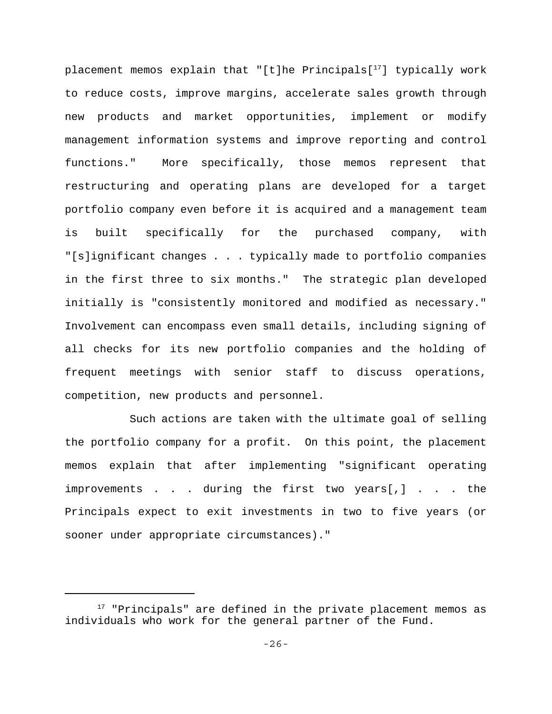placement memos explain that "[t]he Principals[ $17$ ] typically work to reduce costs, improve margins, accelerate sales growth through new products and market opportunities, implement or modify management information systems and improve reporting and control functions." More specifically, those memos represent that restructuring and operating plans are developed for a target portfolio company even before it is acquired and a management team is built specifically for the purchased company, with "[s]ignificant changes . . . typically made to portfolio companies in the first three to six months." The strategic plan developed initially is "consistently monitored and modified as necessary." Involvement can encompass even small details, including signing of all checks for its new portfolio companies and the holding of frequent meetings with senior staff to discuss operations, competition, new products and personnel.

Such actions are taken with the ultimate goal of selling the portfolio company for a profit. On this point, the placement memos explain that after implementing "significant operating improvements . . . during the first two years[,] . . . the Principals expect to exit investments in two to five years (or sooner under appropriate circumstances)."

 $17$  "Principals" are defined in the private placement memos as individuals who work for the general partner of the Fund.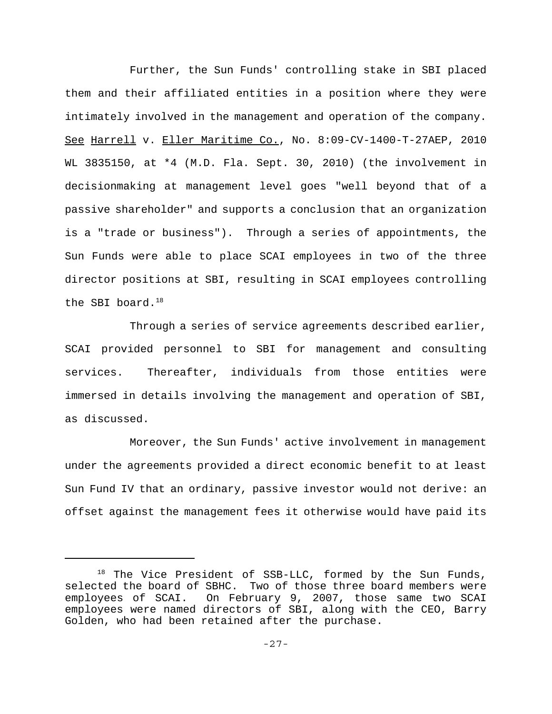Further, the Sun Funds' controlling stake in SBI placed them and their affiliated entities in a position where they were intimately involved in the management and operation of the company. See Harrell v. Eller Maritime Co., No. 8:09-CV-1400-T-27AEP, 2010 WL 3835150, at \*4 (M.D. Fla. Sept. 30, 2010) (the involvement in decisionmaking at management level goes "well beyond that of a passive shareholder" and supports a conclusion that an organization is a "trade or business"). Through a series of appointments, the Sun Funds were able to place SCAI employees in two of the three director positions at SBI, resulting in SCAI employees controlling the SBI board. $^{18}$ 

Through a series of service agreements described earlier, SCAI provided personnel to SBI for management and consulting services. Thereafter, individuals from those entities were immersed in details involving the management and operation of SBI, as discussed.

Moreover, the Sun Funds' active involvement in management under the agreements provided a direct economic benefit to at least Sun Fund IV that an ordinary, passive investor would not derive: an offset against the management fees it otherwise would have paid its

 $18$  The Vice President of SSB-LLC, formed by the Sun Funds, selected the board of SBHC. Two of those three board members were employees of SCAI. On February 9, 2007, those same two SCAI employees were named directors of SBI, along with the CEO, Barry Golden, who had been retained after the purchase.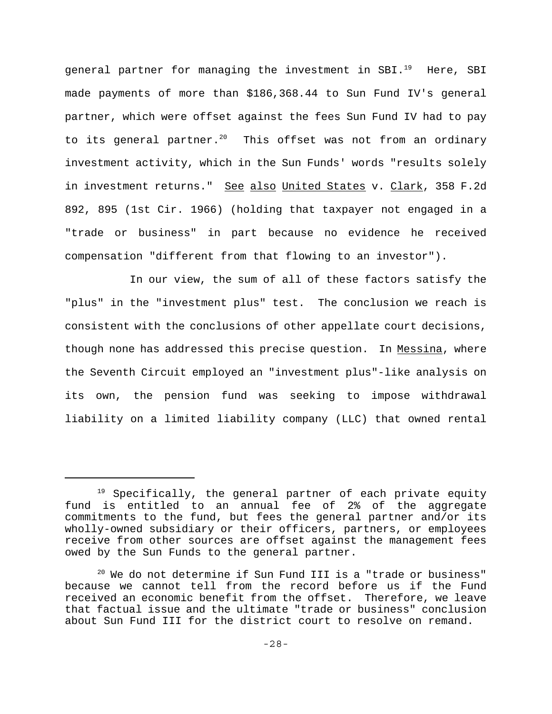general partner for managing the investment in SBI.<sup>19</sup> Here, SBI made payments of more than \$186,368.44 to Sun Fund IV's general partner, which were offset against the fees Sun Fund IV had to pay to its general partner.<sup>20</sup> This offset was not from an ordinary investment activity, which in the Sun Funds' words "results solely in investment returns." See also United States v. Clark, 358 F.2d 892, 895 (1st Cir. 1966) (holding that taxpayer not engaged in a "trade or business" in part because no evidence he received compensation "different from that flowing to an investor").

In our view, the sum of all of these factors satisfy the "plus" in the "investment plus" test. The conclusion we reach is consistent with the conclusions of other appellate court decisions, though none has addressed this precise question. In Messina, where the Seventh Circuit employed an "investment plus"-like analysis on its own, the pension fund was seeking to impose withdrawal liability on a limited liability company (LLC) that owned rental

<sup>&</sup>lt;sup>19</sup> Specifically, the general partner of each private equity fund is entitled to an annual fee of 2% of the aggregate commitments to the fund, but fees the general partner and/or its wholly-owned subsidiary or their officers, partners, or employees receive from other sources are offset against the management fees owed by the Sun Funds to the general partner.

 $20$  We do not determine if Sun Fund III is a "trade or business" because we cannot tell from the record before us if the Fund received an economic benefit from the offset. Therefore, we leave that factual issue and the ultimate "trade or business" conclusion about Sun Fund III for the district court to resolve on remand.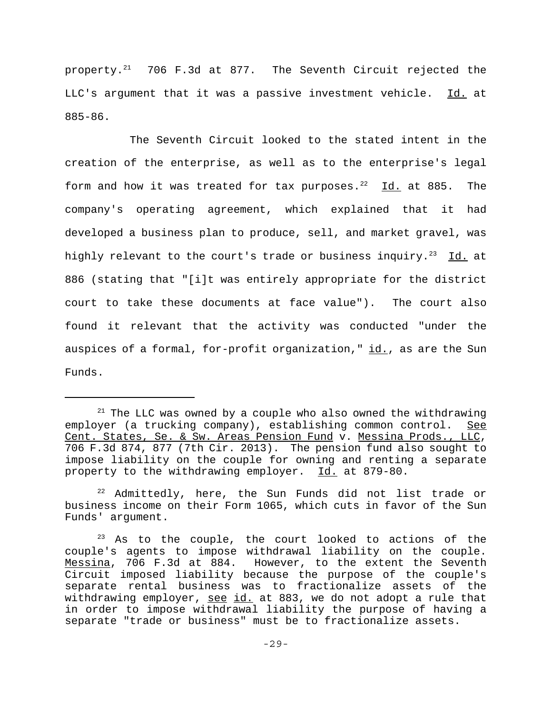property. $21$  706 F.3d at 877. The Seventh Circuit rejected the LLC's argument that it was a passive investment vehicle. Id. at 885-86.

The Seventh Circuit looked to the stated intent in the creation of the enterprise, as well as to the enterprise's legal form and how it was treated for tax purposes.<sup>22</sup> Id. at 885. The company's operating agreement, which explained that it had developed a business plan to produce, sell, and market gravel, was highly relevant to the court's trade or business inquiry.<sup>23</sup> Id. at 886 (stating that "[i]t was entirely appropriate for the district court to take these documents at face value"). The court also found it relevant that the activity was conducted "under the auspices of a formal, for-profit organization," id., as are the Sun Funds.

 $21$  The LLC was owned by a couple who also owned the withdrawing employer (a trucking company), establishing common control. See Cent. States, Se. & Sw. Areas Pension Fund v. Messina Prods., LLC, 706 F.3d 874, 877 (7th Cir. 2013). The pension fund also sought to impose liability on the couple for owning and renting a separate property to the withdrawing employer. Id. at 879-80.

 $22$  Admittedly, here, the Sun Funds did not list trade or business income on their Form 1065, which cuts in favor of the Sun Funds' argument.

 $23$  As to the couple, the court looked to actions of the couple's agents to impose withdrawal liability on the couple. Messina, 706 F.3d at 884. However, to the extent the Seventh Circuit imposed liability because the purpose of the couple's separate rental business was to fractionalize assets of the withdrawing employer, see id. at 883, we do not adopt a rule that in order to impose withdrawal liability the purpose of having a separate "trade or business" must be to fractionalize assets.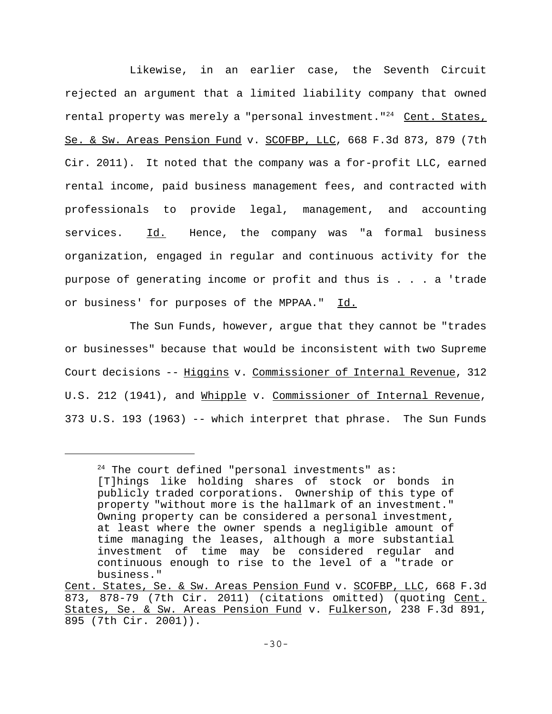Likewise, in an earlier case, the Seventh Circuit rejected an argument that a limited liability company that owned rental property was merely a "personal investment."<sup>24</sup> Cent. States, Se. & Sw. Areas Pension Fund v. SCOFBP, LLC, 668 F.3d 873, 879 (7th Cir. 2011). It noted that the company was a for-profit LLC, earned rental income, paid business management fees, and contracted with professionals to provide legal, management, and accounting services. Id. Hence, the company was "a formal business organization, engaged in regular and continuous activity for the purpose of generating income or profit and thus is . . . a 'trade or business' for purposes of the MPPAA." Id.

The Sun Funds, however, argue that they cannot be "trades or businesses" because that would be inconsistent with two Supreme Court decisions -- Higgins v. Commissioner of Internal Revenue, 312 U.S. 212 (1941), and Whipple v. Commissioner of Internal Revenue, 373 U.S. 193 (1963) -- which interpret that phrase. The Sun Funds

 $24$  The court defined "personal investments" as: [T]hings like holding shares of stock or bonds in publicly traded corporations. Ownership of this type of property "without more is the hallmark of an investment." Owning property can be considered a personal investment, at least where the owner spends a negligible amount of time managing the leases, although a more substantial investment of time may be considered regular and continuous enough to rise to the level of a "trade or business."

Cent. States, Se. & Sw. Areas Pension Fund v. SCOFBP, LLC, 668 F.3d 873, 878-79 (7th Cir. 2011) (citations omitted) (quoting Cent. States, Se. & Sw. Areas Pension Fund v. Fulkerson, 238 F.3d 891, 895 (7th Cir. 2001)).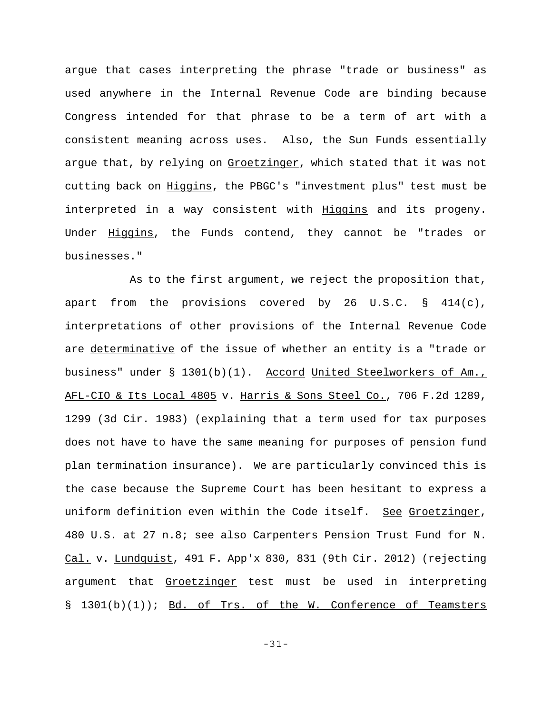argue that cases interpreting the phrase "trade or business" as used anywhere in the Internal Revenue Code are binding because Congress intended for that phrase to be a term of art with a consistent meaning across uses. Also, the Sun Funds essentially argue that, by relying on Groetzinger, which stated that it was not cutting back on **Higgins**, the PBGC's "investment plus" test must be interpreted in a way consistent with Higgins and its progeny. Under Higgins, the Funds contend, they cannot be "trades or businesses."

As to the first argument, we reject the proposition that, apart from the provisions covered by 26 U.S.C.  $\S$  414(c), interpretations of other provisions of the Internal Revenue Code are determinative of the issue of whether an entity is a "trade or business" under § 1301(b)(1). Accord United Steelworkers of Am., AFL-CIO & Its Local 4805 v. Harris & Sons Steel Co., 706 F.2d 1289, 1299 (3d Cir. 1983) (explaining that a term used for tax purposes does not have to have the same meaning for purposes of pension fund plan termination insurance). We are particularly convinced this is the case because the Supreme Court has been hesitant to express a uniform definition even within the Code itself. See Groetzinger, 480 U.S. at 27 n.8; see also Carpenters Pension Trust Fund for N. Cal. v. Lundquist, 491 F. App'x 830, 831 (9th Cir. 2012) (rejecting argument that Groetzinger test must be used in interpreting § 1301(b)(1)); Bd. of Trs. of the W. Conference of Teamsters

-31-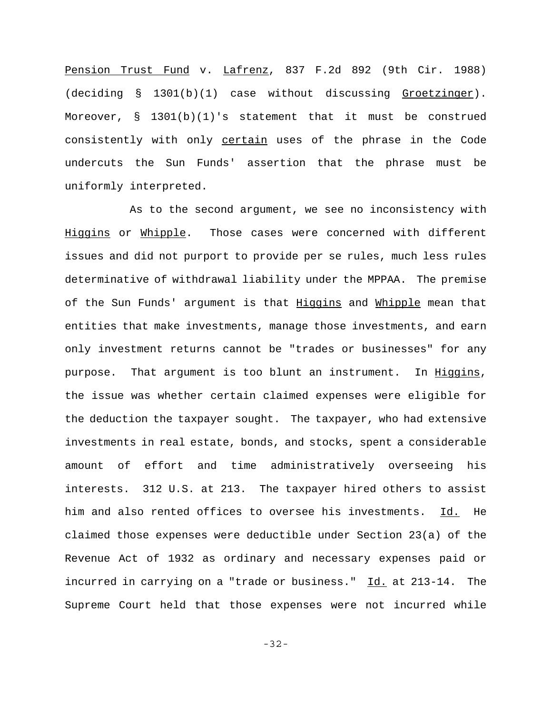Pension Trust Fund v. Lafrenz, 837 F.2d 892 (9th Cir. 1988) (deciding § 1301(b)(1) case without discussing Groetzinger). Moreover,  $\S$  1301(b)(1)'s statement that it must be construed consistently with only certain uses of the phrase in the Code undercuts the Sun Funds' assertion that the phrase must be uniformly interpreted.

As to the second argument, we see no inconsistency with Higgins or Whipple. Those cases were concerned with different issues and did not purport to provide per se rules, much less rules determinative of withdrawal liability under the MPPAA. The premise of the Sun Funds' argument is that Higgins and Whipple mean that entities that make investments, manage those investments, and earn only investment returns cannot be "trades or businesses" for any purpose. That argument is too blunt an instrument. In Higgins, the issue was whether certain claimed expenses were eligible for the deduction the taxpayer sought. The taxpayer, who had extensive investments in real estate, bonds, and stocks, spent a considerable amount of effort and time administratively overseeing his interests. 312 U.S. at 213. The taxpayer hired others to assist him and also rented offices to oversee his investments. Id. He claimed those expenses were deductible under Section 23(a) of the Revenue Act of 1932 as ordinary and necessary expenses paid or incurred in carrying on a "trade or business." Id. at 213-14. The Supreme Court held that those expenses were not incurred while

-32-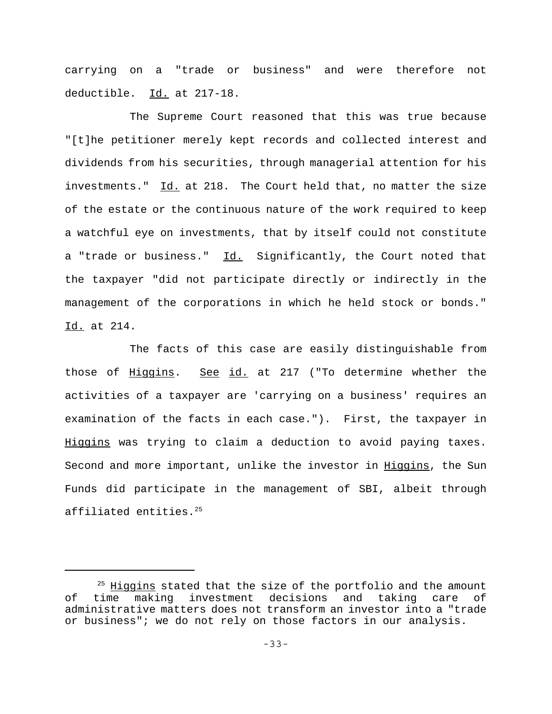carrying on a "trade or business" and were therefore not deductible. Id. at 217-18.

The Supreme Court reasoned that this was true because "[t]he petitioner merely kept records and collected interest and dividends from his securities, through managerial attention for his investments." Id. at 218. The Court held that, no matter the size of the estate or the continuous nature of the work required to keep a watchful eye on investments, that by itself could not constitute a "trade or business." Id. Significantly, the Court noted that the taxpayer "did not participate directly or indirectly in the management of the corporations in which he held stock or bonds." Id. at 214.

The facts of this case are easily distinguishable from those of Higgins. See id. at 217 ("To determine whether the activities of a taxpayer are 'carrying on a business' requires an examination of the facts in each case."). First, the taxpayer in Higgins was trying to claim a deduction to avoid paying taxes. Second and more important, unlike the investor in Higgins, the Sun Funds did participate in the management of SBI, albeit through affiliated entities.25

 $25$  Higgins stated that the size of the portfolio and the amount of time making investment decisions and taking care of administrative matters does not transform an investor into a "trade or business"; we do not rely on those factors in our analysis.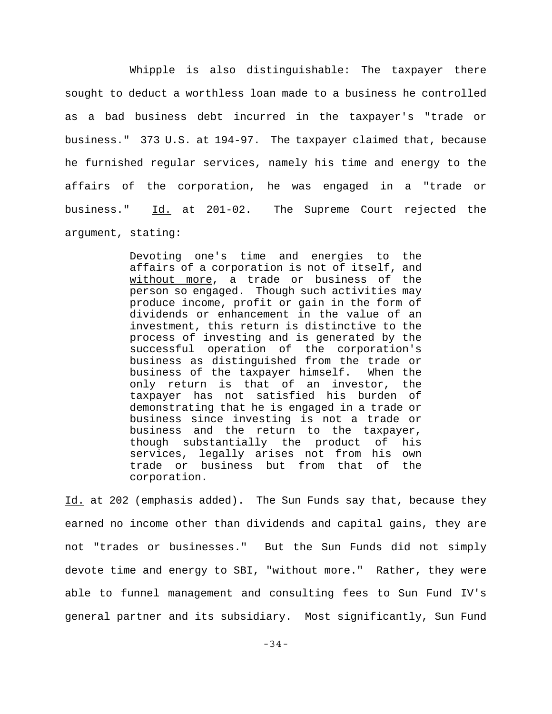Whipple is also distinguishable: The taxpayer there sought to deduct a worthless loan made to a business he controlled as a bad business debt incurred in the taxpayer's "trade or business." 373 U.S. at 194-97. The taxpayer claimed that, because he furnished regular services, namely his time and energy to the affairs of the corporation, he was engaged in a "trade or business." Id. at 201-02. The Supreme Court rejected the argument, stating:

> Devoting one's time and energies to the affairs of a corporation is not of itself, and without more, a trade or business of the person so engaged. Though such activities may produce income, profit or gain in the form of dividends or enhancement in the value of an investment, this return is distinctive to the process of investing and is generated by the successful operation of the corporation's business as distinguished from the trade or business of the taxpayer himself. When the only return is that of an investor, the taxpayer has not satisfied his burden of demonstrating that he is engaged in a trade or business since investing is not a trade or business and the return to the taxpayer, though substantially the product of his services, legally arises not from his own trade or business but from that of the corporation.

Id. at 202 (emphasis added). The Sun Funds say that, because they earned no income other than dividends and capital gains, they are not "trades or businesses." But the Sun Funds did not simply devote time and energy to SBI, "without more." Rather, they were able to funnel management and consulting fees to Sun Fund IV's general partner and its subsidiary. Most significantly, Sun Fund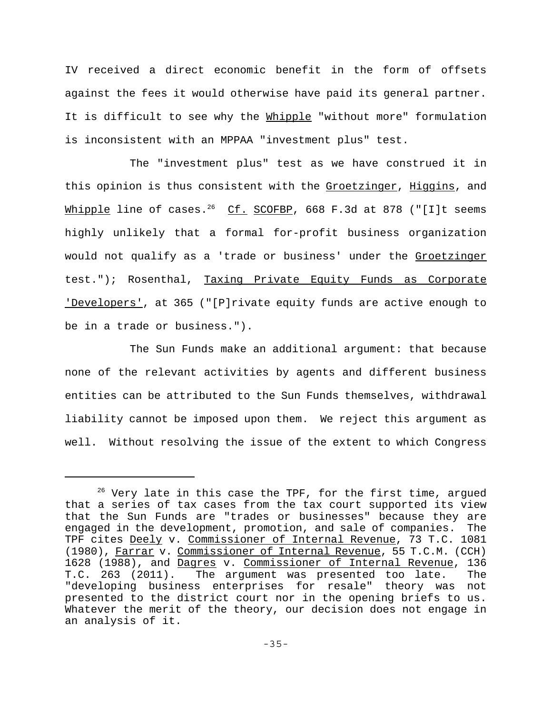IV received a direct economic benefit in the form of offsets against the fees it would otherwise have paid its general partner. It is difficult to see why the Whipple "without more" formulation is inconsistent with an MPPAA "investment plus" test.

The "investment plus" test as we have construed it in this opinion is thus consistent with the Groetzinger, Higgins, and Whipple line of cases.<sup>26</sup> Cf. SCOFBP, 668 F.3d at 878 ("[I]t seems highly unlikely that a formal for-profit business organization would not qualify as a 'trade or business' under the Groetzinger test."); Rosenthal, Taxing Private Equity Funds as Corporate 'Developers', at 365 ("[P]rivate equity funds are active enough to be in a trade or business.").

The Sun Funds make an additional argument: that because none of the relevant activities by agents and different business entities can be attributed to the Sun Funds themselves, withdrawal liability cannot be imposed upon them. We reject this argument as well. Without resolving the issue of the extent to which Congress

 $26$  Very late in this case the TPF, for the first time, argued that a series of tax cases from the tax court supported its view that the Sun Funds are "trades or businesses" because they are engaged in the development, promotion, and sale of companies. The TPF cites Deely v. Commissioner of Internal Revenue, 73 T.C. 1081 (1980), Farrar v. Commissioner of Internal Revenue, 55 T.C.M. (CCH) 1628 (1988), and Dagres v. Commissioner of Internal Revenue, 136 T.C. 263 (2011). The argument was presented too late. The "developing business enterprises for resale" theory was not presented to the district court nor in the opening briefs to us. Whatever the merit of the theory, our decision does not engage in an analysis of it.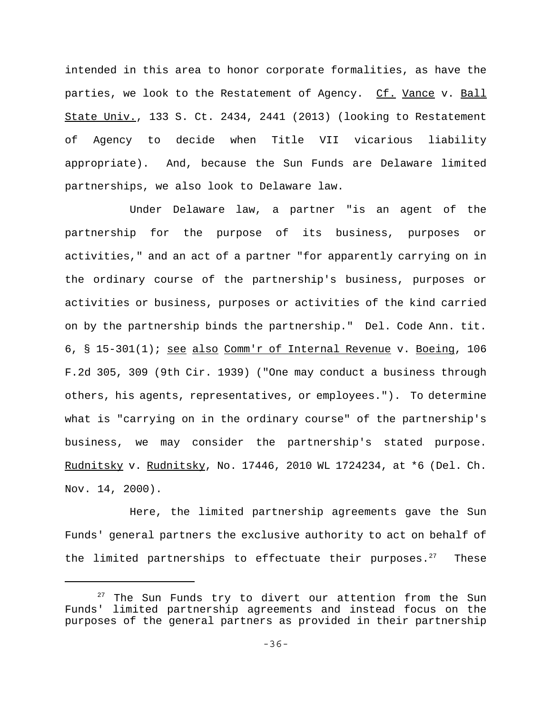intended in this area to honor corporate formalities, as have the parties, we look to the Restatement of Agency. Cf. Vance v. Ball State Univ., 133 S. Ct. 2434, 2441 (2013) (looking to Restatement of Agency to decide when Title VII vicarious liability appropriate). And, because the Sun Funds are Delaware limited partnerships, we also look to Delaware law.

Under Delaware law, a partner "is an agent of the partnership for the purpose of its business, purposes or activities," and an act of a partner "for apparently carrying on in the ordinary course of the partnership's business, purposes or activities or business, purposes or activities of the kind carried on by the partnership binds the partnership." Del. Code Ann. tit. 6, § 15-301(1); see also Comm'r of Internal Revenue v. Boeing, 106 F.2d 305, 309 (9th Cir. 1939) ("One may conduct a business through others, his agents, representatives, or employees."). To determine what is "carrying on in the ordinary course" of the partnership's business, we may consider the partnership's stated purpose. Rudnitsky v. Rudnitsky, No. 17446, 2010 WL 1724234, at \*6 (Del. Ch. Nov. 14, 2000).

Here, the limited partnership agreements gave the Sun Funds' general partners the exclusive authority to act on behalf of the limited partnerships to effectuate their purposes. $27$  These

 $27$  The Sun Funds try to divert our attention from the Sun Funds' limited partnership agreements and instead focus on the purposes of the general partners as provided in their partnership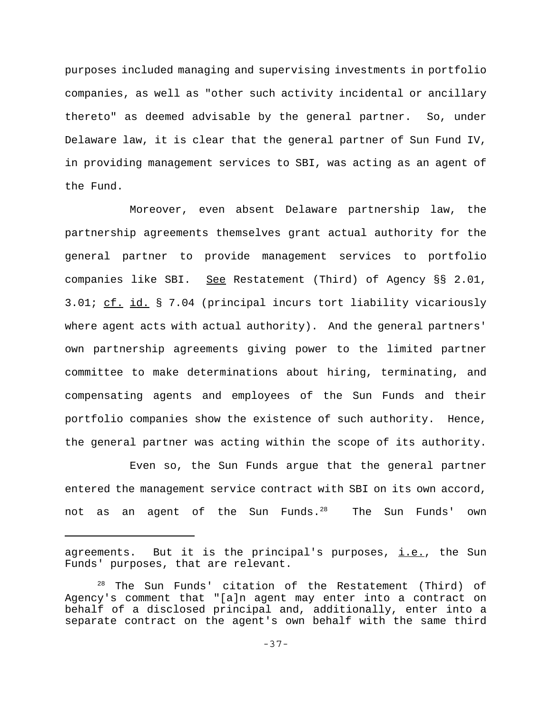purposes included managing and supervising investments in portfolio companies, as well as "other such activity incidental or ancillary thereto" as deemed advisable by the general partner. So, under Delaware law, it is clear that the general partner of Sun Fund IV, in providing management services to SBI, was acting as an agent of the Fund.

Moreover, even absent Delaware partnership law, the partnership agreements themselves grant actual authority for the general partner to provide management services to portfolio companies like SBI. See Restatement (Third) of Agency §§ 2.01, 3.01; cf. id. § 7.04 (principal incurs tort liability vicariously where agent acts with actual authority). And the general partners' own partnership agreements giving power to the limited partner committee to make determinations about hiring, terminating, and compensating agents and employees of the Sun Funds and their portfolio companies show the existence of such authority. Hence, the general partner was acting within the scope of its authority.

Even so, the Sun Funds argue that the general partner entered the management service contract with SBI on its own accord, not as an agent of the Sun Funds. $^{28}$  The Sun Funds' own

agreements. But it is the principal's purposes,  $\text{i.e.}$ , the Sun Funds' purposes, that are relevant.

<sup>&</sup>lt;sup>28</sup> The Sun Funds' citation of the Restatement (Third) of Agency's comment that "[a]n agent may enter into a contract on behalf of a disclosed principal and, additionally, enter into a separate contract on the agent's own behalf with the same third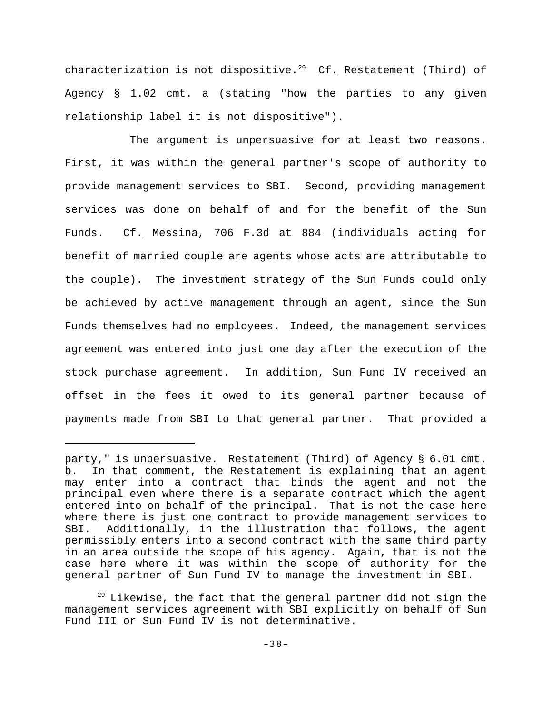characterization is not dispositive.<sup>29</sup> Cf. Restatement (Third) of Agency § 1.02 cmt. a (stating "how the parties to any given relationship label it is not dispositive").

The argument is unpersuasive for at least two reasons. First, it was within the general partner's scope of authority to provide management services to SBI. Second, providing management services was done on behalf of and for the benefit of the Sun Funds. Cf. Messina, 706 F.3d at 884 (individuals acting for benefit of married couple are agents whose acts are attributable to the couple). The investment strategy of the Sun Funds could only be achieved by active management through an agent, since the Sun Funds themselves had no employees. Indeed, the management services agreement was entered into just one day after the execution of the stock purchase agreement. In addition, Sun Fund IV received an offset in the fees it owed to its general partner because of payments made from SBI to that general partner. That provided a

party," is unpersuasive. Restatement (Third) of Agency § 6.01 cmt. b. In that comment, the Restatement is explaining that an agent may enter into a contract that binds the agent and not the principal even where there is a separate contract which the agent entered into on behalf of the principal. That is not the case here where there is just one contract to provide management services to SBI. Additionally, in the illustration that follows, the agent permissibly enters into a second contract with the same third party in an area outside the scope of his agency. Again, that is not the case here where it was within the scope of authority for the general partner of Sun Fund IV to manage the investment in SBI.

 $29$  Likewise, the fact that the general partner did not sign the management services agreement with SBI explicitly on behalf of Sun Fund III or Sun Fund IV is not determinative.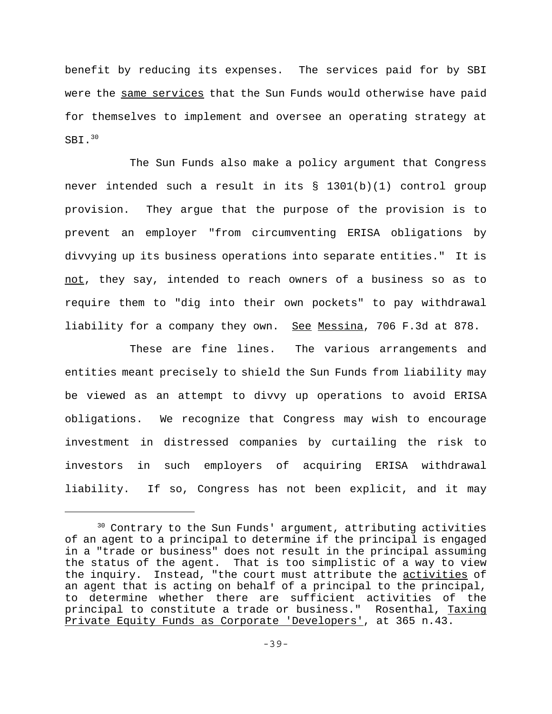benefit by reducing its expenses. The services paid for by SBI were the same services that the Sun Funds would otherwise have paid for themselves to implement and oversee an operating strategy at SBI.<sup>30</sup>

The Sun Funds also make a policy argument that Congress never intended such a result in its § 1301(b)(1) control group provision. They argue that the purpose of the provision is to prevent an employer "from circumventing ERISA obligations by divvying up its business operations into separate entities." It is not, they say, intended to reach owners of a business so as to require them to "dig into their own pockets" to pay withdrawal liability for a company they own. See Messina, 706 F.3d at 878.

These are fine lines. The various arrangements and entities meant precisely to shield the Sun Funds from liability may be viewed as an attempt to divvy up operations to avoid ERISA obligations. We recognize that Congress may wish to encourage investment in distressed companies by curtailing the risk to investors in such employers of acquiring ERISA withdrawal liability. If so, Congress has not been explicit, and it may

<sup>&</sup>lt;sup>30</sup> Contrary to the Sun Funds' argument, attributing activities of an agent to a principal to determine if the principal is engaged in a "trade or business" does not result in the principal assuming the status of the agent. That is too simplistic of a way to view the inquiry. Instead, "the court must attribute the activities of an agent that is acting on behalf of a principal to the principal, to determine whether there are sufficient activities of the principal to constitute a trade or business." Rosenthal, Taxing Private Equity Funds as Corporate 'Developers', at 365 n.43.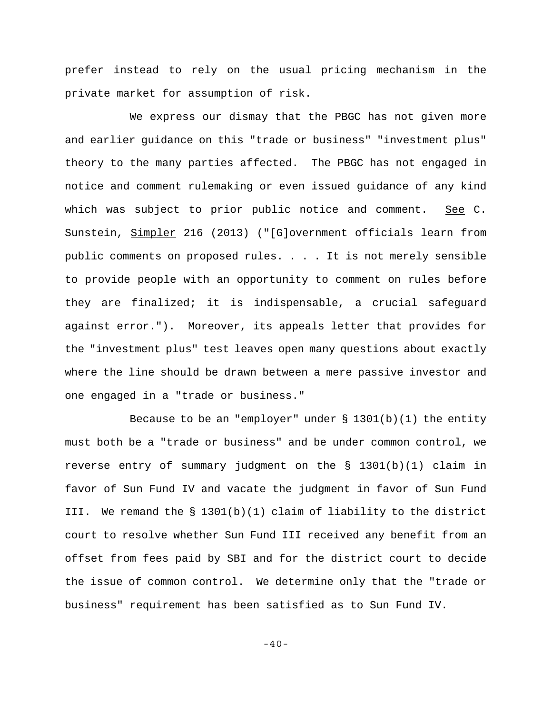prefer instead to rely on the usual pricing mechanism in the private market for assumption of risk.

We express our dismay that the PBGC has not given more and earlier guidance on this "trade or business" "investment plus" theory to the many parties affected. The PBGC has not engaged in notice and comment rulemaking or even issued guidance of any kind which was subject to prior public notice and comment. See  $C$ . Sunstein, Simpler 216 (2013) ("[G]overnment officials learn from public comments on proposed rules. . . . It is not merely sensible to provide people with an opportunity to comment on rules before they are finalized; it is indispensable, a crucial safeguard against error."). Moreover, its appeals letter that provides for the "investment plus" test leaves open many questions about exactly where the line should be drawn between a mere passive investor and one engaged in a "trade or business."

Because to be an "employer" under  $\S$  1301(b)(1) the entity must both be a "trade or business" and be under common control, we reverse entry of summary judgment on the § 1301(b)(1) claim in favor of Sun Fund IV and vacate the judgment in favor of Sun Fund III. We remand the § 1301(b)(1) claim of liability to the district court to resolve whether Sun Fund III received any benefit from an offset from fees paid by SBI and for the district court to decide the issue of common control. We determine only that the "trade or business" requirement has been satisfied as to Sun Fund IV.

-40-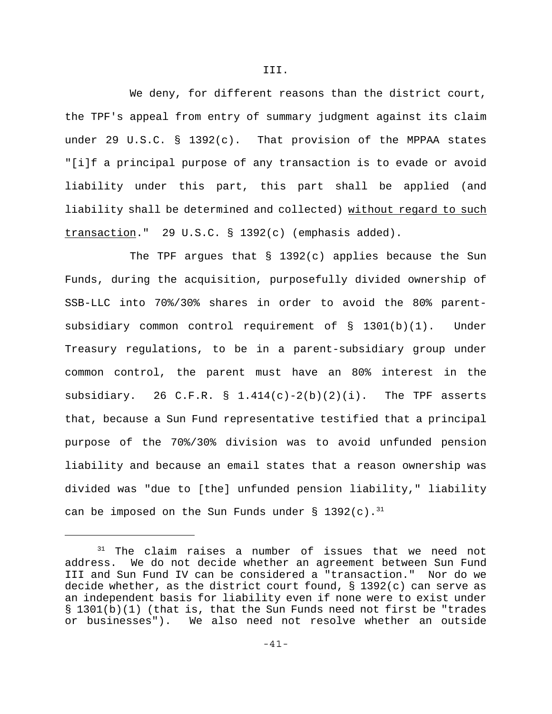We deny, for different reasons than the district court, the TPF's appeal from entry of summary judgment against its claim under 29 U.S.C. § 1392(c). That provision of the MPPAA states "[i]f a principal purpose of any transaction is to evade or avoid liability under this part, this part shall be applied (and liability shall be determined and collected) without regard to such transaction." 29 U.S.C. § 1392(c) (emphasis added).

The TPF argues that  $\S$  1392(c) applies because the Sun Funds, during the acquisition, purposefully divided ownership of SSB-LLC into 70%/30% shares in order to avoid the 80% parentsubsidiary common control requirement of § 1301(b)(1). Under Treasury regulations, to be in a parent-subsidiary group under common control, the parent must have an 80% interest in the subsidiary. 26 C.F.R. §  $1.414(c)-2(b)(2)(i)$ . The TPF asserts that, because a Sun Fund representative testified that a principal purpose of the 70%/30% division was to avoid unfunded pension liability and because an email states that a reason ownership was divided was "due to [the] unfunded pension liability," liability can be imposed on the Sun Funds under § 1392(c).<sup>31</sup>

 $31$  The claim raises a number of issues that we need not address. We do not decide whether an agreement between Sun Fund III and Sun Fund IV can be considered a "transaction." Nor do we decide whether, as the district court found, § 1392(c) can serve as an independent basis for liability even if none were to exist under § 1301(b)(1) (that is, that the Sun Funds need not first be "trades or businesses"). We also need not resolve whether an outside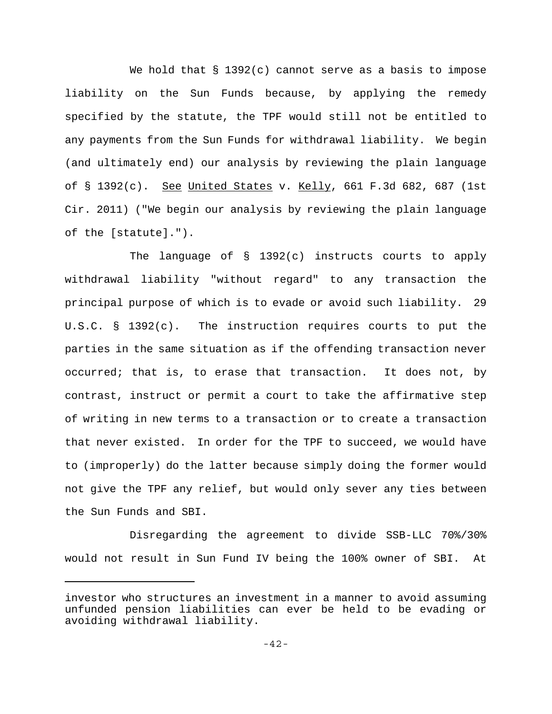We hold that  $\S$  1392(c) cannot serve as a basis to impose liability on the Sun Funds because, by applying the remedy specified by the statute, the TPF would still not be entitled to any payments from the Sun Funds for withdrawal liability. We begin (and ultimately end) our analysis by reviewing the plain language of  $\S$  1392(c). See United States v. Kelly, 661 F.3d 682, 687 (1st Cir. 2011) ("We begin our analysis by reviewing the plain language of the [statute].").

The language of  $\S$  1392(c) instructs courts to apply withdrawal liability "without regard" to any transaction the principal purpose of which is to evade or avoid such liability. 29 U.S.C. § 1392(c). The instruction requires courts to put the parties in the same situation as if the offending transaction never occurred; that is, to erase that transaction. It does not, by contrast, instruct or permit a court to take the affirmative step of writing in new terms to a transaction or to create a transaction that never existed. In order for the TPF to succeed, we would have to (improperly) do the latter because simply doing the former would not give the TPF any relief, but would only sever any ties between the Sun Funds and SBI.

Disregarding the agreement to divide SSB-LLC 70%/30% would not result in Sun Fund IV being the 100% owner of SBI. At

investor who structures an investment in a manner to avoid assuming unfunded pension liabilities can ever be held to be evading or avoiding withdrawal liability.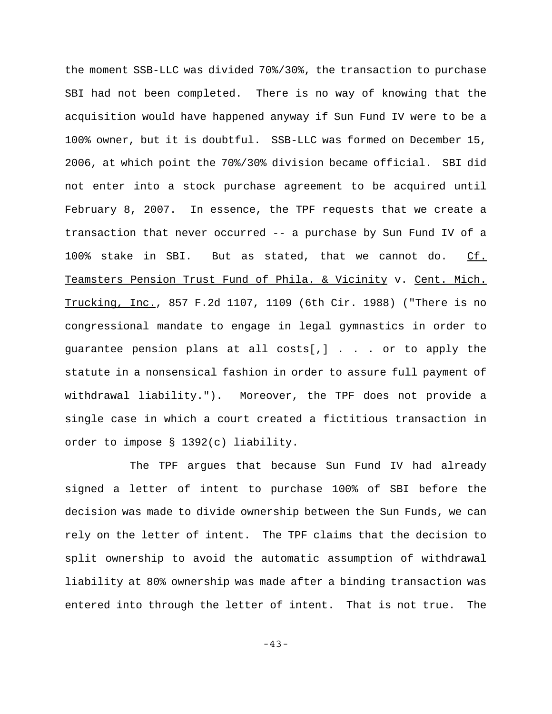the moment SSB-LLC was divided 70%/30%, the transaction to purchase SBI had not been completed. There is no way of knowing that the acquisition would have happened anyway if Sun Fund IV were to be a 100% owner, but it is doubtful. SSB-LLC was formed on December 15, 2006, at which point the 70%/30% division became official. SBI did not enter into a stock purchase agreement to be acquired until February 8, 2007. In essence, the TPF requests that we create a transaction that never occurred -- a purchase by Sun Fund IV of a 100% stake in SBI. But as stated, that we cannot do. Cf. Teamsters Pension Trust Fund of Phila. & Vicinity v. Cent. Mich. Trucking, Inc., 857 F.2d 1107, 1109 (6th Cir. 1988) ("There is no congressional mandate to engage in legal gymnastics in order to guarantee pension plans at all costs[,]  $\ldots$  or to apply the statute in a nonsensical fashion in order to assure full payment of withdrawal liability."). Moreover, the TPF does not provide a single case in which a court created a fictitious transaction in order to impose § 1392(c) liability.

The TPF argues that because Sun Fund IV had already signed a letter of intent to purchase 100% of SBI before the decision was made to divide ownership between the Sun Funds, we can rely on the letter of intent. The TPF claims that the decision to split ownership to avoid the automatic assumption of withdrawal liability at 80% ownership was made after a binding transaction was entered into through the letter of intent. That is not true. The

-43-